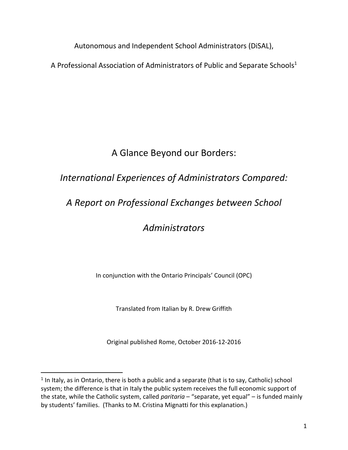Autonomous and Independent School Administrators (DiSAL),

A Professional Association of Administrators of Public and Separate Schools<sup>1</sup>

# A Glance Beyond our Borders:

# *International Experiences of Administrators Compared:*

# *A Report on Professional Exchanges between School*

# *Administrators*

In conjunction with the Ontario Principals' Council (OPC)

Translated from Italian by R. Drew Griffith

Original published Rome, October 2016-12-2016

 $\overline{a}$ 

 $<sup>1</sup>$  In Italy, as in Ontario, there is both a public and a separate (that is to say, Catholic) school</sup> system; the difference is that in Italy the public system receives the full economic support of the state, while the Catholic system, called *paritaria* – "separate, yet equal" – is funded mainly by students' families. (Thanks to M. Cristina Mignatti for this explanation.)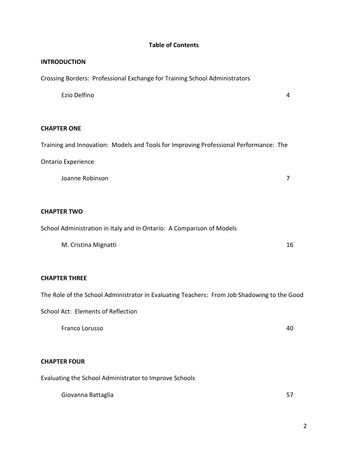## **Table of Contents**

#### **INTRODUCTION**

Crossing Borders: Professional Exchange for Training School Administrators

Ezio Delfino 4

### **CHAPTER ONE**

Training and Innovation: Models and Tools for Improving Professional Performance: The

## Ontario Experience

Joanne Robinson 7

### **CHAPTER TWO**

School Administration in Italy and in Ontario: A Comparison of Models

M. Cristina Mignatti 2002 16

## **CHAPTER THREE**

The Role of the School Administrator in Evaluating Teachers: From Job Shadowing to the Good

School Act: Elements of Reflection

Franco Lorusso 40

## **CHAPTER FOUR**

Evaluating the School Administrator to Improve Schools

Giovanna Battaglia 67 ann an t-ann an t-ann an t-ann an t-ann an t-ann an t-ann an t-ann an t-ann an t-ann an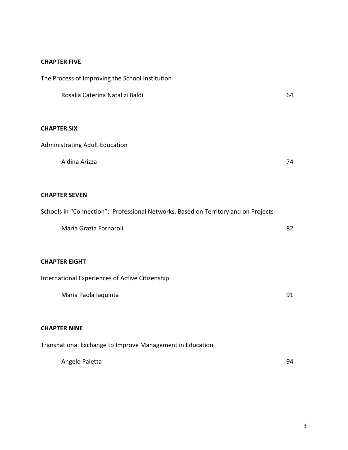## **CHAPTER FIVE**

The Process of Improving the School Institution

| Rosalia Caterina Natalizi Baldi                                                    | 64 |
|------------------------------------------------------------------------------------|----|
| <b>CHAPTER SIX</b>                                                                 |    |
| <b>Administrating Adult Education</b>                                              |    |
| Aldina Arizza                                                                      | 74 |
| <b>CHAPTER SEVEN</b>                                                               |    |
| Schools in "Connection": Professional Networks, Based on Territory and on Projects |    |
| Maria Grazia Fornaroli                                                             | 82 |
| <b>CHAPTER EIGHT</b>                                                               |    |
| <b>International Experiences of Active Citizenship</b>                             |    |
| Maria Paola Iaquinta                                                               | 91 |
| <b>CHAPTER NINE</b>                                                                |    |
| Transnational Exchange to Improve Management in Education                          |    |
| Angelo Paletta                                                                     | 94 |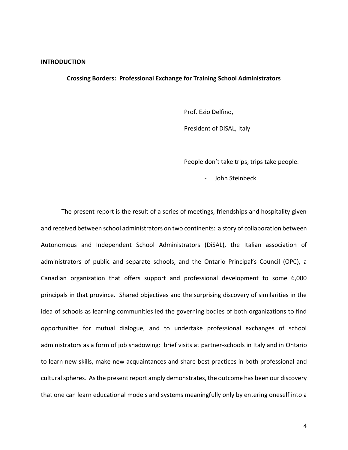#### **INTRODUCTION**

#### **Crossing Borders: Professional Exchange for Training School Administrators**

Prof. Ezio Delfino,

President of DiSAL, Italy

People don't take trips; trips take people.

John Steinbeck

The present report is the result of a series of meetings, friendships and hospitality given and received between school administrators on two continents: a story of collaboration between Autonomous and Independent School Administrators (DiSAL), the Italian association of administrators of public and separate schools, and the Ontario Principal's Council (OPC), a Canadian organization that offers support and professional development to some 6,000 principals in that province. Shared objectives and the surprising discovery of similarities in the idea of schools as learning communities led the governing bodies of both organizations to find opportunities for mutual dialogue, and to undertake professional exchanges of school administrators as a form of job shadowing: brief visits at partner-schools in Italy and in Ontario to learn new skills, make new acquaintances and share best practices in both professional and cultural spheres. As the present report amply demonstrates, the outcome has been our discovery that one can learn educational models and systems meaningfully only by entering oneself into a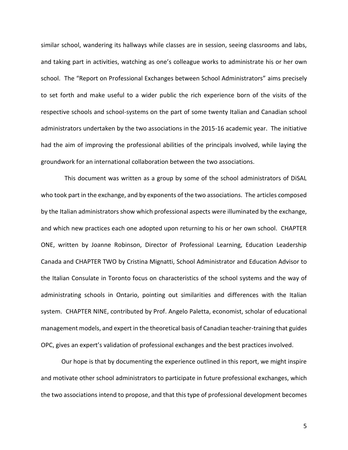similar school, wandering its hallways while classes are in session, seeing classrooms and labs, and taking part in activities, watching as one's colleague works to administrate his or her own school. The "Report on Professional Exchanges between School Administrators" aims precisely to set forth and make useful to a wider public the rich experience born of the visits of the respective schools and school-systems on the part of some twenty Italian and Canadian school administrators undertaken by the two associations in the 2015-16 academic year. The initiative had the aim of improving the professional abilities of the principals involved, while laying the groundwork for an international collaboration between the two associations.

 This document was written as a group by some of the school administrators of DiSAL who took part in the exchange, and by exponents of the two associations. The articles composed by the Italian administrators show which professional aspects were illuminated by the exchange, and which new practices each one adopted upon returning to his or her own school. CHAPTER ONE, written by Joanne Robinson, Director of Professional Learning, Education Leadership Canada and CHAPTER TWO by Cristina Mignatti, School Administrator and Education Advisor to the Italian Consulate in Toronto focus on characteristics of the school systems and the way of administrating schools in Ontario, pointing out similarities and differences with the Italian system. CHAPTER NINE, contributed by Prof. Angelo Paletta, economist, scholar of educational management models, and expert in the theoretical basis of Canadian teacher-training that guides OPC, gives an expert's validation of professional exchanges and the best practices involved.

Our hope is that by documenting the experience outlined in this report, we might inspire and motivate other school administrators to participate in future professional exchanges, which the two associations intend to propose, and that this type of professional development becomes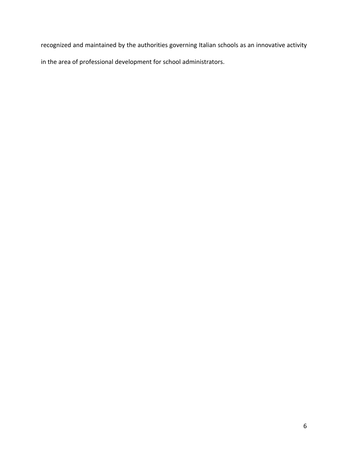recognized and maintained by the authorities governing Italian schools as an innovative activity in the area of professional development for school administrators.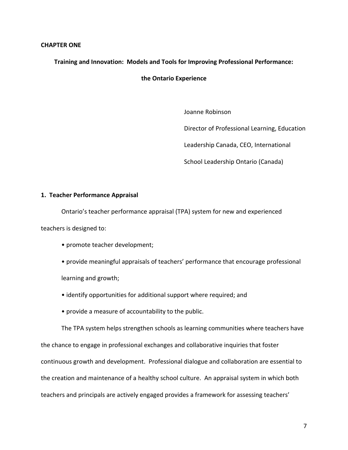#### **CHAPTER ONE**

**Training and Innovation: Models and Tools for Improving Professional Performance:** 

**the Ontario Experience**

Joanne Robinson

Director of Professional Learning, Education

Leadership Canada, CEO, International

School Leadership Ontario (Canada)

#### **1. Teacher Performance Appraisal**

Ontario's teacher performance appraisal (TPA) system for new and experienced

teachers is designed to:

• promote teacher development;

• provide meaningful appraisals of teachers' performance that encourage professional learning and growth;

- identify opportunities for additional support where required; and
- provide a measure of accountability to the public.

The TPA system helps strengthen schools as learning communities where teachers have the chance to engage in professional exchanges and collaborative inquiries that foster continuous growth and development. Professional dialogue and collaboration are essential to the creation and maintenance of a healthy school culture. An appraisal system in which both teachers and principals are actively engaged provides a framework for assessing teachers'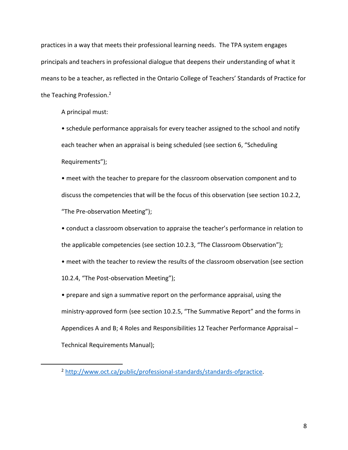practices in a way that meets their professional learning needs. The TPA system engages principals and teachers in professional dialogue that deepens their understanding of what it means to be a teacher, as reflected in the Ontario College of Teachers' Standards of Practice for the Teaching Profession.<sup>2</sup>

A principal must:

• schedule performance appraisals for every teacher assigned to the school and notify each teacher when an appraisal is being scheduled (see section 6, "Scheduling Requirements");

• meet with the teacher to prepare for the classroom observation component and to discuss the competencies that will be the focus of this observation (see section 10.2.2, "The Pre-observation Meeting");

• conduct a classroom observation to appraise the teacher's performance in relation to the applicable competencies (see section 10.2.3, "The Classroom Observation");

• meet with the teacher to review the results of the classroom observation (see section

10.2.4, "The Post-observation Meeting");

 $\overline{a}$ 

• prepare and sign a summative report on the performance appraisal, using the ministry-approved form (see section 10.2.5, "The Summative Report" and the forms in Appendices A and B; 4 Roles and Responsibilities 12 Teacher Performance Appraisal – Technical Requirements Manual);

<sup>2</sup> [http://www.oct.ca/public/professional-standards/standards-ofpractice.](http://www.oct.ca/public/professional-standards/standards-ofpractice)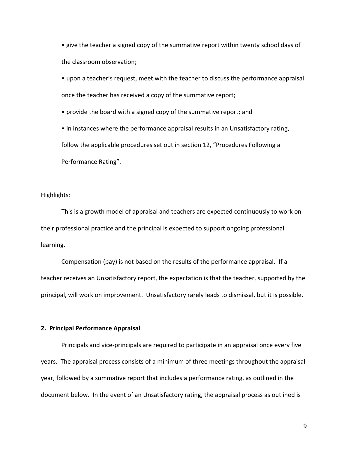• give the teacher a signed copy of the summative report within twenty school days of the classroom observation;

• upon a teacher's request, meet with the teacher to discuss the performance appraisal once the teacher has received a copy of the summative report;

• provide the board with a signed copy of the summative report; and

• in instances where the performance appraisal results in an Unsatisfactory rating, follow the applicable procedures set out in section 12, "Procedures Following a Performance Rating".

Highlights:

This is a growth model of appraisal and teachers are expected continuously to work on their professional practice and the principal is expected to support ongoing professional learning.

Compensation (pay) is not based on the results of the performance appraisal. If a teacher receives an Unsatisfactory report, the expectation is that the teacher, supported by the principal, will work on improvement. Unsatisfactory rarely leads to dismissal, but it is possible.

#### **2. Principal Performance Appraisal**

Principals and vice-principals are required to participate in an appraisal once every five years. The appraisal process consists of a minimum of three meetings throughout the appraisal year, followed by a summative report that includes a performance rating, as outlined in the document below. In the event of an Unsatisfactory rating, the appraisal process as outlined is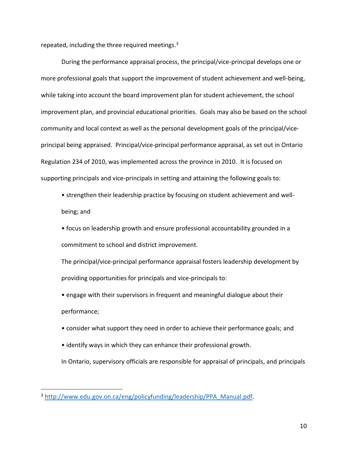repeated, including the three required meetings.<sup>3</sup>

During the performance appraisal process, the principal/vice-principal develops one or more professional goals that support the improvement of student achievement and well-being, while taking into account the board improvement plan for student achievement, the school improvement plan, and provincial educational priorities. Goals may also be based on the school community and local context as well as the personal development goals of the principal/viceprincipal being appraised. Principal/vice-principal performance appraisal, as set out in Ontario Regulation 234 of 2010, was implemented across the province in 2010. It is focused on supporting principals and vice-principals in setting and attaining the following goals to:

• strengthen their leadership practice by focusing on student achievement and wellbeing; and

• focus on leadership growth and ensure professional accountability grounded in a commitment to school and district improvement.

The principal/vice-principal performance appraisal fosters leadership development by providing opportunities for principals and vice-principals to:

• engage with their supervisors in frequent and meaningful dialogue about their performance;

- consider what support they need in order to achieve their performance goals; and
- identify ways in which they can enhance their professional growth.

In Ontario, supervisory officials are responsible for appraisal of principals, and principals

 $\overline{a}$ 

<sup>3</sup> [http://www.edu.gov.on.ca/eng/policyfunding/leadership/PPA\\_Manual.pdf.](http://www.edu.gov.on.ca/eng/policyfunding/leadership/PPA_Manual.pdf)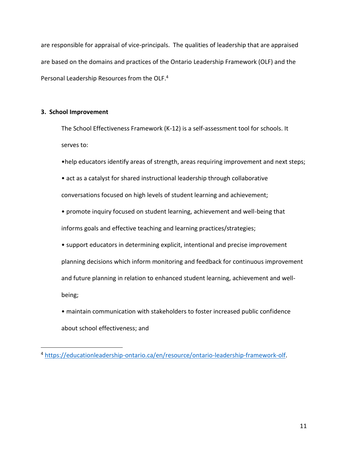are responsible for appraisal of vice-principals. The qualities of leadership that are appraised are based on the domains and practices of the Ontario Leadership Framework (OLF) and the Personal Leadership Resources from the OLF.<sup>4</sup>

### **3. School Improvement**

 $\overline{a}$ 

The School Effectiveness Framework (K-12) is a self-assessment tool for schools. It serves to:

- •help educators identify areas of strength, areas requiring improvement and next steps;
- act as a catalyst for shared instructional leadership through collaborative conversations focused on high levels of student learning and achievement;
- promote inquiry focused on student learning, achievement and well-being that informs goals and effective teaching and learning practices/strategies;
- support educators in determining explicit, intentional and precise improvement planning decisions which inform monitoring and feedback for continuous improvement and future planning in relation to enhanced student learning, achievement and wellbeing;
- maintain communication with stakeholders to foster increased public confidence about school effectiveness; and

<sup>4</sup> [https://educationleadership-ontario.ca/en/resource/ontario-leadership-framework-olf.](https://educationleadership-ontario.ca/en/resource/ontario-leadership-framework-olf)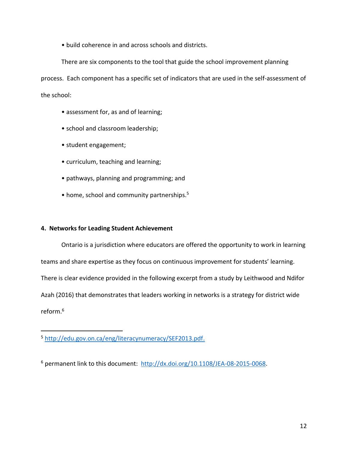• build coherence in and across schools and districts.

There are six components to the tool that guide the school improvement planning process. Each component has a specific set of indicators that are used in the self-assessment of the school:

- assessment for, as and of learning;
- school and classroom leadership;
- student engagement;
- curriculum, teaching and learning;
- pathways, planning and programming; and
- home, school and community partnerships.<sup>5</sup>

## **4. Networks for Leading Student Achievement**

Ontario is a jurisdiction where educators are offered the opportunity to work in learning teams and share expertise as they focus on continuous improvement for students' learning. There is clear evidence provided in the following excerpt from a study by Leithwood and Ndifor Azah (2016) that demonstrates that leaders working in networks is a strategy for district wide reform. 6

 $\overline{a}$ 

<sup>5</sup> [http://edu.gov.on.ca/eng/literacynumeracy/SEF2013.pdf.](http://edu.gov.on.ca/eng/literacynumeracy/SEF2013.pdf)

<sup>6</sup> permanent link to this document: [http://dx.doi.org/10.1108/JEA-08-2015-0068.](http://dx.doi.org/10.1108/JEA-08-2015-0068)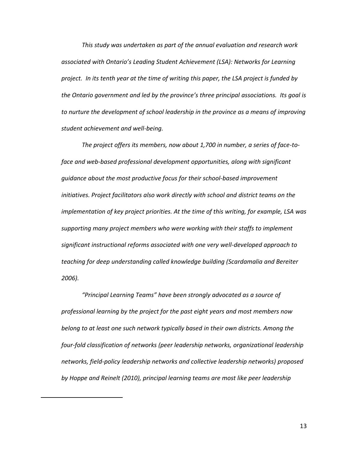*This study was undertaken as part of the annual evaluation and research work associated with Ontario's Leading Student Achievement (LSA): Networks for Learning project. In its tenth year at the time of writing this paper, the LSA project is funded by the Ontario government and led by the province's three principal associations. Its goal is to nurture the development of school leadership in the province as a means of improving student achievement and well-being.*

*The project offers its members, now about 1,700 in number, a series of face-toface and web-based professional development opportunities, along with significant guidance about the most productive focus for their school-based improvement initiatives. Project facilitators also work directly with school and district teams on the implementation of key project priorities. At the time of this writing, for example, LSA was supporting many project members who were working with their staffs to implement significant instructional reforms associated with one very well-developed approach to teaching for deep understanding called knowledge building (Scardamalia and Bereiter 2006).*

*"Principal Learning Teams" have been strongly advocated as a source of professional learning by the project for the past eight years and most members now belong to at least one such network typically based in their own districts. Among the four-fold classification of networks (peer leadership networks, organizational leadership networks, field-policy leadership networks and collective leadership networks) proposed by Hoppe and Reinelt (2010), principal learning teams are most like peer leadership* 

 $\overline{a}$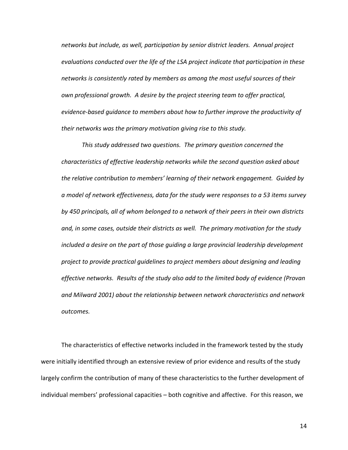*networks but include, as well, participation by senior district leaders. Annual project evaluations conducted over the life of the LSA project indicate that participation in these networks is consistently rated by members as among the most useful sources of their own professional growth. A desire by the project steering team to offer practical, evidence-based guidance to members about how to further improve the productivity of their networks was the primary motivation giving rise to this study.*

*This study addressed two questions. The primary question concerned the characteristics of effective leadership networks while the second question asked about the relative contribution to members' learning of their network engagement. Guided by a model of network effectiveness, data for the study were responses to a 53 items survey by 450 principals, all of whom belonged to a network of their peers in their own districts and, in some cases, outside their districts as well. The primary motivation for the study included a desire on the part of those guiding a large provincial leadership development project to provide practical guidelines to project members about designing and leading effective networks. Results of the study also add to the limited body of evidence (Provan and Milward 2001) about the relationship between network characteristics and network outcomes.*

The characteristics of effective networks included in the framework tested by the study were initially identified through an extensive review of prior evidence and results of the study largely confirm the contribution of many of these characteristics to the further development of individual members' professional capacities – both cognitive and affective. For this reason, we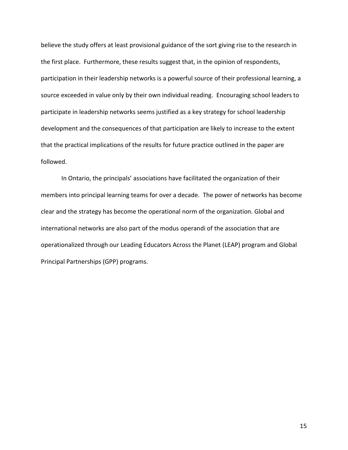believe the study offers at least provisional guidance of the sort giving rise to the research in the first place. Furthermore, these results suggest that, in the opinion of respondents, participation in their leadership networks is a powerful source of their professional learning, a source exceeded in value only by their own individual reading. Encouraging school leaders to participate in leadership networks seems justified as a key strategy for school leadership development and the consequences of that participation are likely to increase to the extent that the practical implications of the results for future practice outlined in the paper are followed.

In Ontario, the principals' associations have facilitated the organization of their members into principal learning teams for over a decade. The power of networks has become clear and the strategy has become the operational norm of the organization. Global and international networks are also part of the modus operandi of the association that are operationalized through our Leading Educators Across the Planet (LEAP) program and Global Principal Partnerships (GPP) programs.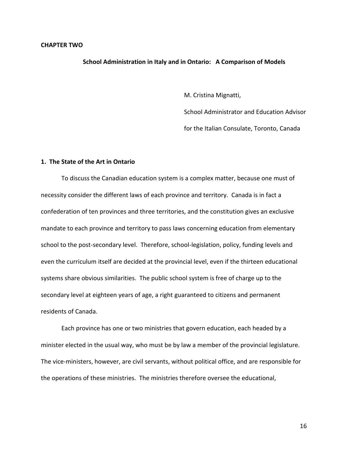#### **School Administration in Italy and in Ontario: A Comparison of Models**

M. Cristina Mignatti,

School Administrator and Education Advisor

for the Italian Consulate, Toronto, Canada

#### **1. The State of the Art in Ontario**

To discuss the Canadian education system is a complex matter, because one must of necessity consider the different laws of each province and territory. Canada is in fact a confederation of ten provinces and three territories, and the constitution gives an exclusive mandate to each province and territory to pass laws concerning education from elementary school to the post-secondary level. Therefore, school-legislation, policy, funding levels and even the curriculum itself are decided at the provincial level, even if the thirteen educational systems share obvious similarities. The public school system is free of charge up to the secondary level at eighteen years of age, a right guaranteed to citizens and permanent residents of Canada.

Each province has one or two ministries that govern education, each headed by a minister elected in the usual way, who must be by law a member of the provincial legislature. The vice-ministers, however, are civil servants, without political office, and are responsible for the operations of these ministries. The ministries therefore oversee the educational,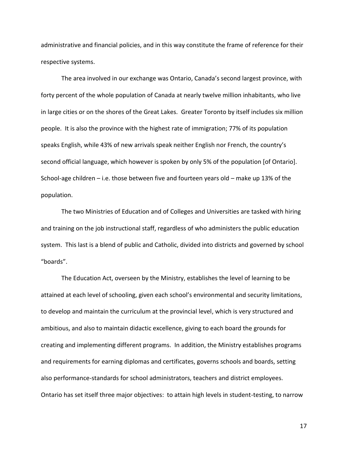administrative and financial policies, and in this way constitute the frame of reference for their respective systems.

The area involved in our exchange was Ontario, Canada's second largest province, with forty percent of the whole population of Canada at nearly twelve million inhabitants, who live in large cities or on the shores of the Great Lakes. Greater Toronto by itself includes six million people. It is also the province with the highest rate of immigration; 77% of its population speaks English, while 43% of new arrivals speak neither English nor French, the country's second official language, which however is spoken by only 5% of the population [of Ontario]. School-age children – i.e. those between five and fourteen years old – make up 13% of the population.

The two Ministries of Education and of Colleges and Universities are tasked with hiring and training on the job instructional staff, regardless of who administers the public education system. This last is a blend of public and Catholic, divided into districts and governed by school "boards".

The Education Act, overseen by the Ministry, establishes the level of learning to be attained at each level of schooling, given each school's environmental and security limitations, to develop and maintain the curriculum at the provincial level, which is very structured and ambitious, and also to maintain didactic excellence, giving to each board the grounds for creating and implementing different programs. In addition, the Ministry establishes programs and requirements for earning diplomas and certificates, governs schools and boards, setting also performance-standards for school administrators, teachers and district employees. Ontario has set itself three major objectives: to attain high levels in student-testing, to narrow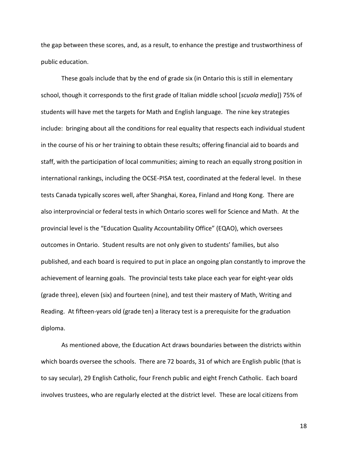the gap between these scores, and, as a result, to enhance the prestige and trustworthiness of public education.

These goals include that by the end of grade six (in Ontario this is still in elementary school, though it corresponds to the first grade of Italian middle school [*scuola media*]) 75% of students will have met the targets for Math and English language. The nine key strategies include: bringing about all the conditions for real equality that respects each individual student in the course of his or her training to obtain these results; offering financial aid to boards and staff, with the participation of local communities; aiming to reach an equally strong position in international rankings, including the OCSE-PISA test, coordinated at the federal level. In these tests Canada typically scores well, after Shanghai, Korea, Finland and Hong Kong. There are also interprovincial or federal tests in which Ontario scores well for Science and Math. At the provincial level is the "Education Quality Accountability Office" (EQAO), which oversees outcomes in Ontario. Student results are not only given to students' families, but also published, and each board is required to put in place an ongoing plan constantly to improve the achievement of learning goals. The provincial tests take place each year for eight-year olds (grade three), eleven (six) and fourteen (nine), and test their mastery of Math, Writing and Reading. At fifteen-years old (grade ten) a literacy test is a prerequisite for the graduation diploma.

As mentioned above, the Education Act draws boundaries between the districts within which boards oversee the schools. There are 72 boards, 31 of which are English public (that is to say secular), 29 English Catholic, four French public and eight French Catholic. Each board involves trustees, who are regularly elected at the district level. These are local citizens from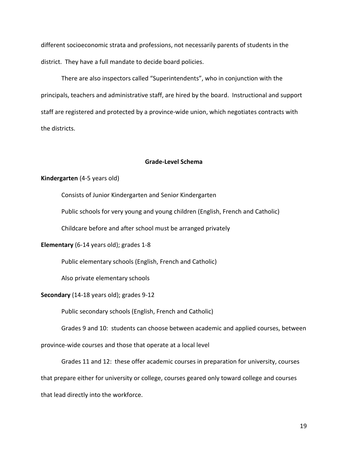different socioeconomic strata and professions, not necessarily parents of students in the district. They have a full mandate to decide board policies.

There are also inspectors called "Superintendents", who in conjunction with the principals, teachers and administrative staff, are hired by the board. Instructional and support staff are registered and protected by a province-wide union, which negotiates contracts with the districts.

#### **Grade-Level Schema**

#### **Kindergarten** (4-5 years old)

Consists of Junior Kindergarten and Senior Kindergarten

Public schools for very young and young children (English, French and Catholic)

Childcare before and after school must be arranged privately

#### **Elementary** (6-14 years old); grades 1-8

Public elementary schools (English, French and Catholic)

Also private elementary schools

#### **Secondary** (14-18 years old); grades 9-12

Public secondary schools (English, French and Catholic)

Grades 9 and 10: students can choose between academic and applied courses, between province-wide courses and those that operate at a local level

Grades 11 and 12: these offer academic courses in preparation for university, courses that prepare either for university or college, courses geared only toward college and courses that lead directly into the workforce.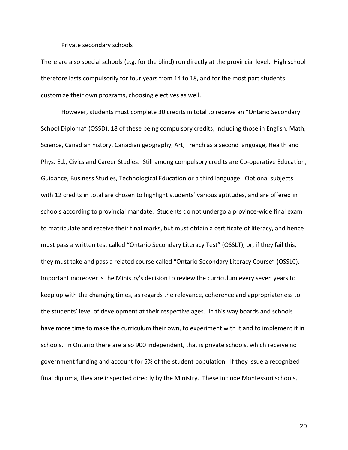#### Private secondary schools

There are also special schools (e.g. for the blind) run directly at the provincial level. High school therefore lasts compulsorily for four years from 14 to 18, and for the most part students customize their own programs, choosing electives as well.

However, students must complete 30 credits in total to receive an "Ontario Secondary School Diploma" (OSSD), 18 of these being compulsory credits, including those in English, Math, Science, Canadian history, Canadian geography, Art, French as a second language, Health and Phys. Ed., Civics and Career Studies. Still among compulsory credits are Co-operative Education, Guidance, Business Studies, Technological Education or a third language. Optional subjects with 12 credits in total are chosen to highlight students' various aptitudes, and are offered in schools according to provincial mandate. Students do not undergo a province-wide final exam to matriculate and receive their final marks, but must obtain a certificate of literacy, and hence must pass a written test called "Ontario Secondary Literacy Test" (OSSLT), or, if they fail this, they must take and pass a related course called "Ontario Secondary Literacy Course" (OSSLC). Important moreover is the Ministry's decision to review the curriculum every seven years to keep up with the changing times, as regards the relevance, coherence and appropriateness to the students' level of development at their respective ages. In this way boards and schools have more time to make the curriculum their own, to experiment with it and to implement it in schools. In Ontario there are also 900 independent, that is private schools, which receive no government funding and account for 5% of the student population. If they issue a recognized final diploma, they are inspected directly by the Ministry. These include Montessori schools,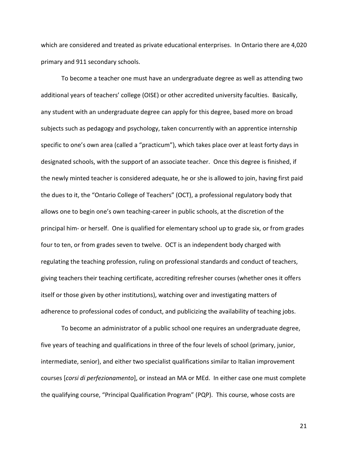which are considered and treated as private educational enterprises. In Ontario there are 4,020 primary and 911 secondary schools.

To become a teacher one must have an undergraduate degree as well as attending two additional years of teachers' college (OISE) or other accredited university faculties. Basically, any student with an undergraduate degree can apply for this degree, based more on broad subjects such as pedagogy and psychology, taken concurrently with an apprentice internship specific to one's own area (called a "practicum"), which takes place over at least forty days in designated schools, with the support of an associate teacher. Once this degree is finished, if the newly minted teacher is considered adequate, he or she is allowed to join, having first paid the dues to it, the "Ontario College of Teachers" (OCT), a professional regulatory body that allows one to begin one's own teaching-career in public schools, at the discretion of the principal him- or herself. One is qualified for elementary school up to grade six, or from grades four to ten, or from grades seven to twelve. OCT is an independent body charged with regulating the teaching profession, ruling on professional standards and conduct of teachers, giving teachers their teaching certificate, accrediting refresher courses (whether ones it offers itself or those given by other institutions), watching over and investigating matters of adherence to professional codes of conduct, and publicizing the availability of teaching jobs.

To become an administrator of a public school one requires an undergraduate degree, five years of teaching and qualifications in three of the four levels of school (primary, junior, intermediate, senior), and either two specialist qualifications similar to Italian improvement courses [*corsi di perfezionamento*], or instead an MA or MEd. In either case one must complete the qualifying course, "Principal Qualification Program" (PQP). This course, whose costs are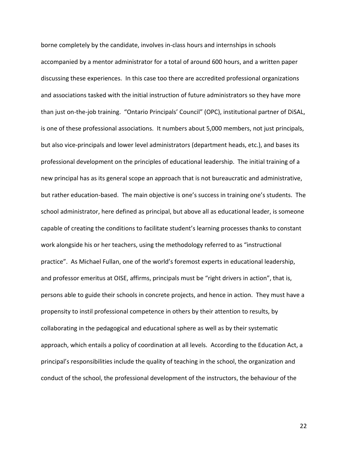borne completely by the candidate, involves in-class hours and internships in schools accompanied by a mentor administrator for a total of around 600 hours, and a written paper discussing these experiences. In this case too there are accredited professional organizations and associations tasked with the initial instruction of future administrators so they have more than just on-the-job training. "Ontario Principals' Council" (OPC), institutional partner of DiSAL, is one of these professional associations. It numbers about 5,000 members, not just principals, but also vice-principals and lower level administrators (department heads, etc.), and bases its professional development on the principles of educational leadership. The initial training of a new principal has as its general scope an approach that is not bureaucratic and administrative, but rather education-based. The main objective is one's success in training one's students. The school administrator, here defined as principal, but above all as educational leader, is someone capable of creating the conditions to facilitate student's learning processes thanks to constant work alongside his or her teachers, using the methodology referred to as "instructional practice". As Michael Fullan, one of the world's foremost experts in educational leadership, and professor emeritus at OISE, affirms, principals must be "right drivers in action", that is, persons able to guide their schools in concrete projects, and hence in action. They must have a propensity to instil professional competence in others by their attention to results, by collaborating in the pedagogical and educational sphere as well as by their systematic approach, which entails a policy of coordination at all levels. According to the Education Act, a principal's responsibilities include the quality of teaching in the school, the organization and conduct of the school, the professional development of the instructors, the behaviour of the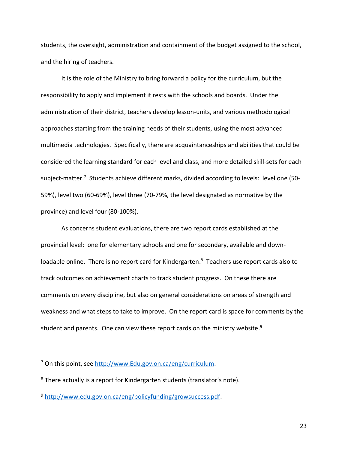students, the oversight, administration and containment of the budget assigned to the school, and the hiring of teachers.

It is the role of the Ministry to bring forward a policy for the curriculum, but the responsibility to apply and implement it rests with the schools and boards. Under the administration of their district, teachers develop lesson-units, and various methodological approaches starting from the training needs of their students, using the most advanced multimedia technologies. Specifically, there are acquaintanceships and abilities that could be considered the learning standard for each level and class, and more detailed skill-sets for each subject-matter.<sup>7</sup> Students achieve different marks, divided according to levels: level one (50-59%), level two (60-69%), level three (70-79%, the level designated as normative by the province) and level four (80-100%).

As concerns student evaluations, there are two report cards established at the provincial level: one for elementary schools and one for secondary, available and downloadable online. There is no report card for Kindergarten.<sup>8</sup> Teachers use report cards also to track outcomes on achievement charts to track student progress. On these there are comments on every discipline, but also on general considerations on areas of strength and weakness and what steps to take to improve. On the report card is space for comments by the student and parents. One can view these report cards on the ministry website.<sup>9</sup>

 $\overline{a}$ 

<sup>7</sup> On this point, see [http://www.Edu.gov.on.ca/eng/curriculum.](http://www.edu.gov.on.ca/eng/curriculum)

 $8$  There actually is a report for Kindergarten students (translator's note).

<sup>9</sup> [http://www.edu.gov.on.ca/eng/policyfunding/growsuccess.pdf.](http://www.edu.gov.on.ca/eng/policyfunding/growsuccess.pdf)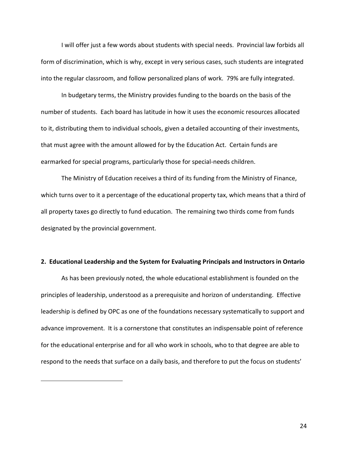I will offer just a few words about students with special needs. Provincial law forbids all form of discrimination, which is why, except in very serious cases, such students are integrated into the regular classroom, and follow personalized plans of work. 79% are fully integrated.

In budgetary terms, the Ministry provides funding to the boards on the basis of the number of students. Each board has latitude in how it uses the economic resources allocated to it, distributing them to individual schools, given a detailed accounting of their investments, that must agree with the amount allowed for by the Education Act. Certain funds are earmarked for special programs, particularly those for special-needs children.

The Ministry of Education receives a third of its funding from the Ministry of Finance, which turns over to it a percentage of the educational property tax, which means that a third of all property taxes go directly to fund education. The remaining two thirds come from funds designated by the provincial government.

#### **2. Educational Leadership and the System for Evaluating Principals and Instructors in Ontario**

As has been previously noted, the whole educational establishment is founded on the principles of leadership, understood as a prerequisite and horizon of understanding. Effective leadership is defined by OPC as one of the foundations necessary systematically to support and advance improvement. It is a cornerstone that constitutes an indispensable point of reference for the educational enterprise and for all who work in schools, who to that degree are able to respond to the needs that surface on a daily basis, and therefore to put the focus on students'

 $\overline{a}$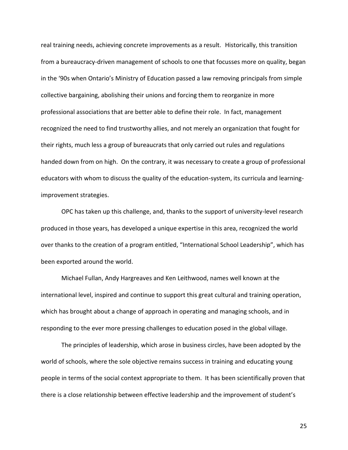real training needs, achieving concrete improvements as a result. Historically, this transition from a bureaucracy-driven management of schools to one that focusses more on quality, began in the '90s when Ontario's Ministry of Education passed a law removing principals from simple collective bargaining, abolishing their unions and forcing them to reorganize in more professional associations that are better able to define their role. In fact, management recognized the need to find trustworthy allies, and not merely an organization that fought for their rights, much less a group of bureaucrats that only carried out rules and regulations handed down from on high. On the contrary, it was necessary to create a group of professional educators with whom to discuss the quality of the education-system, its curricula and learningimprovement strategies.

OPC has taken up this challenge, and, thanks to the support of university-level research produced in those years, has developed a unique expertise in this area, recognized the world over thanks to the creation of a program entitled, "International School Leadership", which has been exported around the world.

Michael Fullan, Andy Hargreaves and Ken Leithwood, names well known at the international level, inspired and continue to support this great cultural and training operation, which has brought about a change of approach in operating and managing schools, and in responding to the ever more pressing challenges to education posed in the global village.

The principles of leadership, which arose in business circles, have been adopted by the world of schools, where the sole objective remains success in training and educating young people in terms of the social context appropriate to them. It has been scientifically proven that there is a close relationship between effective leadership and the improvement of student's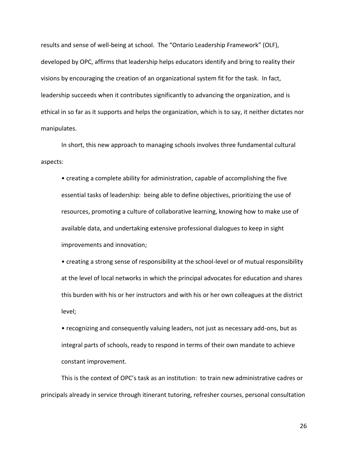results and sense of well-being at school. The "Ontario Leadership Framework" (OLF), developed by OPC, affirms that leadership helps educators identify and bring to reality their visions by encouraging the creation of an organizational system fit for the task. In fact, leadership succeeds when it contributes significantly to advancing the organization, and is ethical in so far as it supports and helps the organization, which is to say, it neither dictates nor manipulates.

In short, this new approach to managing schools involves three fundamental cultural aspects:

• creating a complete ability for administration, capable of accomplishing the five essential tasks of leadership: being able to define objectives, prioritizing the use of resources, promoting a culture of collaborative learning, knowing how to make use of available data, and undertaking extensive professional dialogues to keep in sight improvements and innovation;

• creating a strong sense of responsibility at the school-level or of mutual responsibility at the level of local networks in which the principal advocates for education and shares this burden with his or her instructors and with his or her own colleagues at the district level;

• recognizing and consequently valuing leaders, not just as necessary add-ons, but as integral parts of schools, ready to respond in terms of their own mandate to achieve constant improvement.

This is the context of OPC's task as an institution: to train new administrative cadres or principals already in service through itinerant tutoring, refresher courses, personal consultation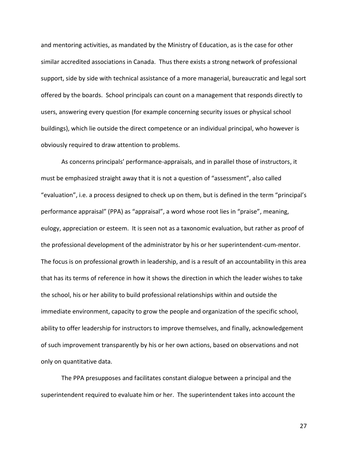and mentoring activities, as mandated by the Ministry of Education, as is the case for other similar accredited associations in Canada. Thus there exists a strong network of professional support, side by side with technical assistance of a more managerial, bureaucratic and legal sort offered by the boards. School principals can count on a management that responds directly to users, answering every question (for example concerning security issues or physical school buildings), which lie outside the direct competence or an individual principal, who however is obviously required to draw attention to problems.

As concerns principals' performance-appraisals, and in parallel those of instructors, it must be emphasized straight away that it is not a question of "assessment", also called "evaluation", i.e. a process designed to check up on them, but is defined in the term "principal's performance appraisal" (PPA) as "appraisal", a word whose root lies in "praise", meaning, eulogy, appreciation or esteem. It is seen not as a taxonomic evaluation, but rather as proof of the professional development of the administrator by his or her superintendent-cum-mentor. The focus is on professional growth in leadership, and is a result of an accountability in this area that has its terms of reference in how it shows the direction in which the leader wishes to take the school, his or her ability to build professional relationships within and outside the immediate environment, capacity to grow the people and organization of the specific school, ability to offer leadership for instructors to improve themselves, and finally, acknowledgement of such improvement transparently by his or her own actions, based on observations and not only on quantitative data.

 The PPA presupposes and facilitates constant dialogue between a principal and the superintendent required to evaluate him or her. The superintendent takes into account the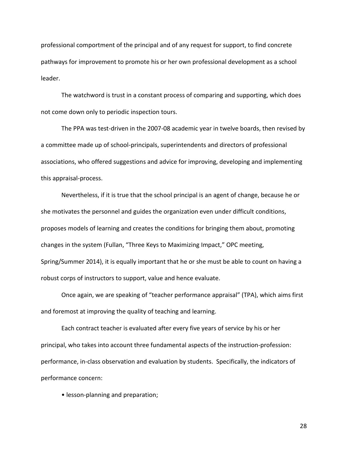professional comportment of the principal and of any request for support, to find concrete pathways for improvement to promote his or her own professional development as a school leader.

The watchword is trust in a constant process of comparing and supporting, which does not come down only to periodic inspection tours.

The PPA was test-driven in the 2007-08 academic year in twelve boards, then revised by a committee made up of school-principals, superintendents and directors of professional associations, who offered suggestions and advice for improving, developing and implementing this appraisal-process.

Nevertheless, if it is true that the school principal is an agent of change, because he or she motivates the personnel and guides the organization even under difficult conditions, proposes models of learning and creates the conditions for bringing them about, promoting changes in the system (Fullan, "Three Keys to Maximizing Impact," OPC meeting, Spring/Summer 2014), it is equally important that he or she must be able to count on having a robust corps of instructors to support, value and hence evaluate.

Once again, we are speaking of "teacher performance appraisal" (TPA), which aims first and foremost at improving the quality of teaching and learning.

Each contract teacher is evaluated after every five years of service by his or her principal, who takes into account three fundamental aspects of the instruction-profession: performance, in-class observation and evaluation by students. Specifically, the indicators of performance concern:

• lesson-planning and preparation;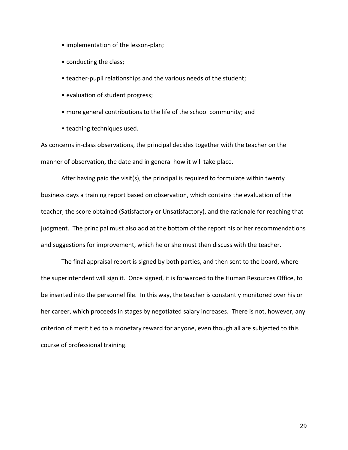- implementation of the lesson-plan;
- conducting the class;
- teacher-pupil relationships and the various needs of the student;
- evaluation of student progress;
- more general contributions to the life of the school community; and
- teaching techniques used.

As concerns in-class observations, the principal decides together with the teacher on the manner of observation, the date and in general how it will take place.

After having paid the visit(s), the principal is required to formulate within twenty business days a training report based on observation, which contains the evaluation of the teacher, the score obtained (Satisfactory or Unsatisfactory), and the rationale for reaching that judgment. The principal must also add at the bottom of the report his or her recommendations and suggestions for improvement, which he or she must then discuss with the teacher.

The final appraisal report is signed by both parties, and then sent to the board, where the superintendent will sign it. Once signed, it is forwarded to the Human Resources Office, to be inserted into the personnel file. In this way, the teacher is constantly monitored over his or her career, which proceeds in stages by negotiated salary increases. There is not, however, any criterion of merit tied to a monetary reward for anyone, even though all are subjected to this course of professional training.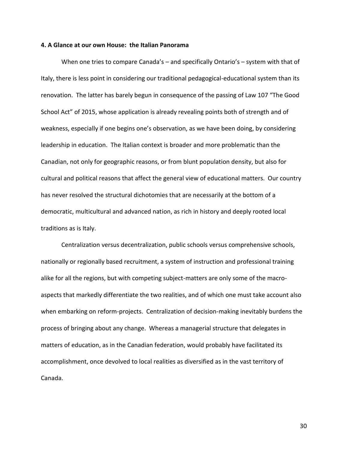#### **4. A Glance at our own House: the Italian Panorama**

When one tries to compare Canada's – and specifically Ontario's – system with that of Italy, there is less point in considering our traditional pedagogical-educational system than its renovation. The latter has barely begun in consequence of the passing of Law 107 "The Good School Act" of 2015, whose application is already revealing points both of strength and of weakness, especially if one begins one's observation, as we have been doing, by considering leadership in education. The Italian context is broader and more problematic than the Canadian, not only for geographic reasons, or from blunt population density, but also for cultural and political reasons that affect the general view of educational matters. Our country has never resolved the structural dichotomies that are necessarily at the bottom of a democratic, multicultural and advanced nation, as rich in history and deeply rooted local traditions as is Italy.

Centralization versus decentralization, public schools versus comprehensive schools, nationally or regionally based recruitment, a system of instruction and professional training alike for all the regions, but with competing subject-matters are only some of the macroaspects that markedly differentiate the two realities, and of which one must take account also when embarking on reform-projects. Centralization of decision-making inevitably burdens the process of bringing about any change. Whereas a managerial structure that delegates in matters of education, as in the Canadian federation, would probably have facilitated its accomplishment, once devolved to local realities as diversified as in the vast territory of Canada.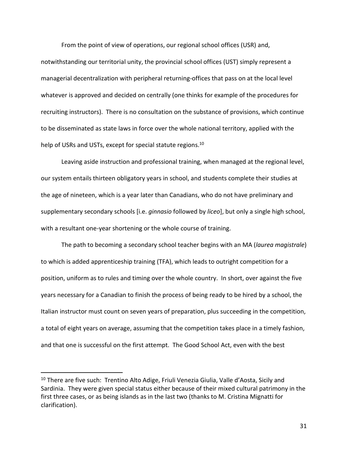From the point of view of operations, our regional school offices (USR) and,

notwithstanding our territorial unity, the provincial school offices (UST) simply represent a managerial decentralization with peripheral returning-offices that pass on at the local level whatever is approved and decided on centrally (one thinks for example of the procedures for recruiting instructors). There is no consultation on the substance of provisions, which continue to be disseminated as state laws in force over the whole national territory, applied with the help of USRs and USTs, except for special statute regions.<sup>10</sup>

Leaving aside instruction and professional training, when managed at the regional level, our system entails thirteen obligatory years in school, and students complete their studies at the age of nineteen, which is a year later than Canadians, who do not have preliminary and supplementary secondary schools [i.e. *ginnasio* followed by *liceo*], but only a single high school, with a resultant one-year shortening or the whole course of training.

The path to becoming a secondary school teacher begins with an MA (*laurea magistrale*) to which is added apprenticeship training (TFA), which leads to outright competition for a position, uniform as to rules and timing over the whole country. In short, over against the five years necessary for a Canadian to finish the process of being ready to be hired by a school, the Italian instructor must count on seven years of preparation, plus succeeding in the competition, a total of eight years on average, assuming that the competition takes place in a timely fashion, and that one is successful on the first attempt. The Good School Act, even with the best

 $\overline{a}$ 

 $10$  There are five such: Trentino Alto Adige, Friuli Venezia Giulia, Valle d'Aosta, Sicily and Sardinia. They were given special status either because of their mixed cultural patrimony in the first three cases, or as being islands as in the last two (thanks to M. Cristina Mignatti for clarification).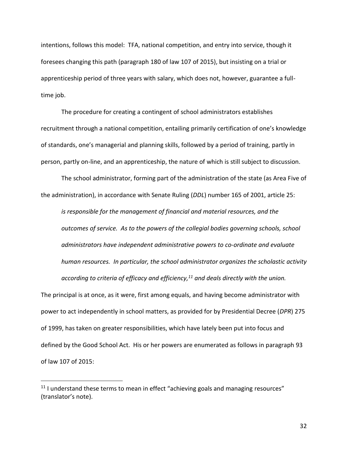intentions, follows this model: TFA, national competition, and entry into service, though it foresees changing this path (paragraph 180 of law 107 of 2015), but insisting on a trial or apprenticeship period of three years with salary, which does not, however, guarantee a fulltime job.

The procedure for creating a contingent of school administrators establishes recruitment through a national competition, entailing primarily certification of one's knowledge of standards, one's managerial and planning skills, followed by a period of training, partly in person, partly on-line, and an apprenticeship, the nature of which is still subject to discussion.

The school administrator, forming part of the administration of the state (as Area Five of the administration), in accordance with Senate Ruling (*DDL*) number 165 of 2001, article 25:

*is responsible for the management of financial and material resources, and the outcomes of service. As to the powers of the collegial bodies governing schools, school administrators have independent administrative powers to co-ordinate and evaluate human resources. In particular, the school administrator organizes the scholastic activity according to criteria of efficacy and efficiency, <sup>11</sup> and deals directly with the union.*

The principal is at once, as it were, first among equals, and having become administrator with power to act independently in school matters, as provided for by Presidential Decree (*DPR*) 275 of 1999, has taken on greater responsibilities, which have lately been put into focus and defined by the Good School Act. His or her powers are enumerated as follows in paragraph 93 of law 107 of 2015:

 $\overline{a}$ 

 $11$  I understand these terms to mean in effect "achieving goals and managing resources" (translator's note).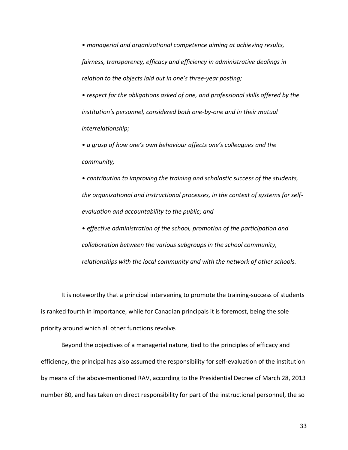• *managerial and organizational competence aiming at achieving results, fairness, transparency, efficacy and efficiency in administrative dealings in relation to the objects laid out in one's three-year posting;*

• *respect for the obligations asked of one, and professional skills offered by the institution's personnel, considered both one-by-one and in their mutual interrelationship;*

• *a grasp of how one's own behaviour affects one's colleagues and the community;*

• *contribution to improving the training and scholastic success of the students, the organizational and instructional processes, in the context of systems for selfevaluation and accountability to the public; and*

• *effective administration of the school, promotion of the participation and collaboration between the various subgroups in the school community, relationships with the local community and with the network of other schools.*

It is noteworthy that a principal intervening to promote the training-success of students is ranked fourth in importance, while for Canadian principals it is foremost, being the sole priority around which all other functions revolve.

Beyond the objectives of a managerial nature, tied to the principles of efficacy and efficiency, the principal has also assumed the responsibility for self-evaluation of the institution by means of the above-mentioned RAV, according to the Presidential Decree of March 28, 2013 number 80, and has taken on direct responsibility for part of the instructional personnel, the so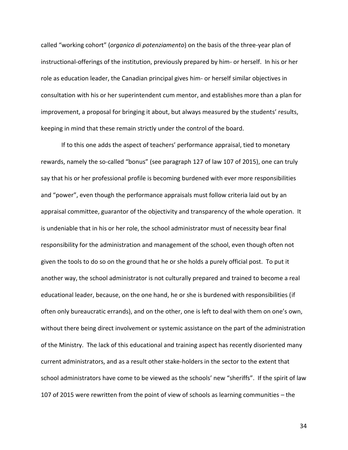called "working cohort" (*organico di potenziamento*) on the basis of the three-year plan of instructional-offerings of the institution, previously prepared by him- or herself. In his or her role as education leader, the Canadian principal gives him- or herself similar objectives in consultation with his or her superintendent cum mentor, and establishes more than a plan for improvement, a proposal for bringing it about, but always measured by the students' results, keeping in mind that these remain strictly under the control of the board.

If to this one adds the aspect of teachers' performance appraisal, tied to monetary rewards, namely the so-called "bonus" (see paragraph 127 of law 107 of 2015), one can truly say that his or her professional profile is becoming burdened with ever more responsibilities and "power", even though the performance appraisals must follow criteria laid out by an appraisal committee, guarantor of the objectivity and transparency of the whole operation. It is undeniable that in his or her role, the school administrator must of necessity bear final responsibility for the administration and management of the school, even though often not given the tools to do so on the ground that he or she holds a purely official post. To put it another way, the school administrator is not culturally prepared and trained to become a real educational leader, because, on the one hand, he or she is burdened with responsibilities (if often only bureaucratic errands), and on the other, one is left to deal with them on one's own, without there being direct involvement or systemic assistance on the part of the administration of the Ministry. The lack of this educational and training aspect has recently disoriented many current administrators, and as a result other stake-holders in the sector to the extent that school administrators have come to be viewed as the schools' new "sheriffs". If the spirit of law 107 of 2015 were rewritten from the point of view of schools as learning communities – the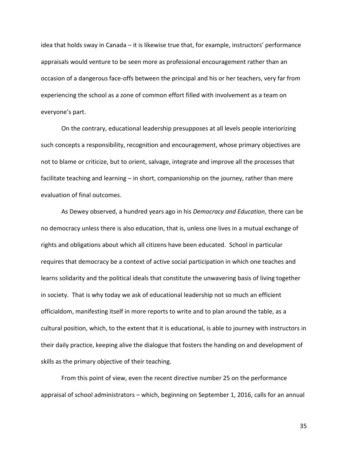idea that holds sway in Canada – it is likewise true that, for example, instructors' performance appraisals would venture to be seen more as professional encouragement rather than an occasion of a dangerous face-offs between the principal and his or her teachers, very far from experiencing the school as a zone of common effort filled with involvement as a team on everyone's part.

On the contrary, educational leadership presupposes at all levels people interiorizing such concepts a responsibility, recognition and encouragement, whose primary objectives are not to blame or criticize, but to orient, salvage, integrate and improve all the processes that facilitate teaching and learning – in short, companionship on the journey, rather than mere evaluation of final outcomes.

As Dewey observed, a hundred years ago in his *Democracy and Education*, there can be no democracy unless there is also education, that is, unless one lives in a mutual exchange of rights and obligations about which all citizens have been educated. School in particular requires that democracy be a context of active social participation in which one teaches and learns solidarity and the political ideals that constitute the unwavering basis of living together in society. That is why today we ask of educational leadership not so much an efficient officialdom, manifesting itself in more reports to write and to plan around the table, as a cultural position, which, to the extent that it is educational, is able to journey with instructors in their daily practice, keeping alive the dialogue that fosters the handing on and development of skills as the primary objective of their teaching.

From this point of view, even the recent directive number 25 on the performance appraisal of school administrators – which, beginning on September 1, 2016, calls for an annual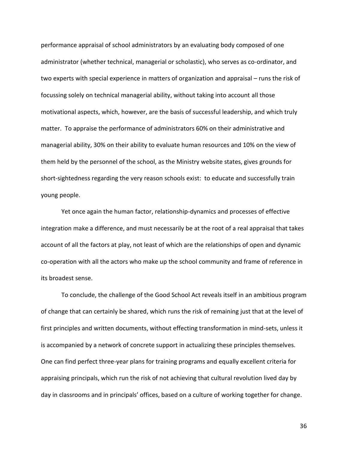performance appraisal of school administrators by an evaluating body composed of one administrator (whether technical, managerial or scholastic), who serves as co-ordinator, and two experts with special experience in matters of organization and appraisal – runs the risk of focussing solely on technical managerial ability, without taking into account all those motivational aspects, which, however, are the basis of successful leadership, and which truly matter. To appraise the performance of administrators 60% on their administrative and managerial ability, 30% on their ability to evaluate human resources and 10% on the view of them held by the personnel of the school, as the Ministry website states, gives grounds for short-sightedness regarding the very reason schools exist: to educate and successfully train young people.

Yet once again the human factor, relationship-dynamics and processes of effective integration make a difference, and must necessarily be at the root of a real appraisal that takes account of all the factors at play, not least of which are the relationships of open and dynamic co-operation with all the actors who make up the school community and frame of reference in its broadest sense.

To conclude, the challenge of the Good School Act reveals itself in an ambitious program of change that can certainly be shared, which runs the risk of remaining just that at the level of first principles and written documents, without effecting transformation in mind-sets, unless it is accompanied by a network of concrete support in actualizing these principles themselves. One can find perfect three-year plans for training programs and equally excellent criteria for appraising principals, which run the risk of not achieving that cultural revolution lived day by day in classrooms and in principals' offices, based on a culture of working together for change.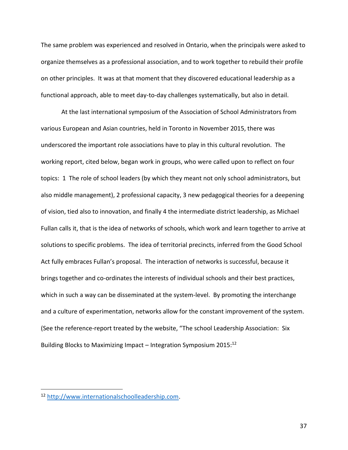The same problem was experienced and resolved in Ontario, when the principals were asked to organize themselves as a professional association, and to work together to rebuild their profile on other principles. It was at that moment that they discovered educational leadership as a functional approach, able to meet day-to-day challenges systematically, but also in detail.

At the last international symposium of the Association of School Administrators from various European and Asian countries, held in Toronto in November 2015, there was underscored the important role associations have to play in this cultural revolution. The working report, cited below, began work in groups, who were called upon to reflect on four topics: 1 The role of school leaders (by which they meant not only school administrators, but also middle management), 2 professional capacity, 3 new pedagogical theories for a deepening of vision, tied also to innovation, and finally 4 the intermediate district leadership, as Michael Fullan calls it, that is the idea of networks of schools, which work and learn together to arrive at solutions to specific problems. The idea of territorial precincts, inferred from the Good School Act fully embraces Fullan's proposal. The interaction of networks is successful, because it brings together and co-ordinates the interests of individual schools and their best practices, which in such a way can be disseminated at the system-level. By promoting the interchange and a culture of experimentation, networks allow for the constant improvement of the system. (See the reference-report treated by the website, "The school Leadership Association: Six Building Blocks to Maximizing Impact – Integration Symposium  $2015$ <sup>12</sup>

 $\overline{a}$ 

<sup>12</sup> [http://www.internationalschoolleadership.com.](http://www.internationalschoolleadership.com/)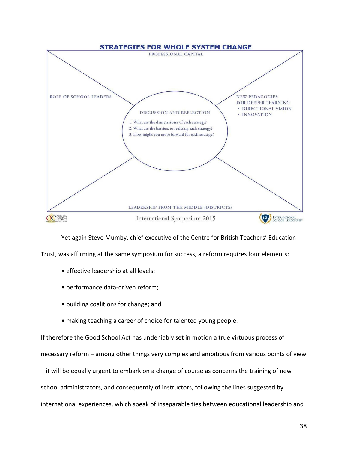

Yet again Steve Mumby, chief executive of the Centre for British Teachers' Education

Trust, was affirming at the same symposium for success, a reform requires four elements:

- effective leadership at all levels;
- performance data-driven reform;
- building coalitions for change; and
- making teaching a career of choice for talented young people.

If therefore the Good School Act has undeniably set in motion a true virtuous process of necessary reform – among other things very complex and ambitious from various points of view – it will be equally urgent to embark on a change of course as concerns the training of new school administrators, and consequently of instructors, following the lines suggested by international experiences, which speak of inseparable ties between educational leadership and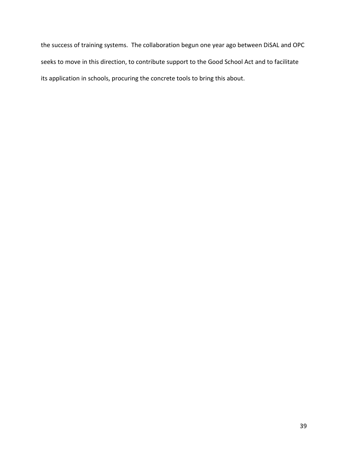the success of training systems. The collaboration begun one year ago between DiSAL and OPC seeks to move in this direction, to contribute support to the Good School Act and to facilitate its application in schools, procuring the concrete tools to bring this about.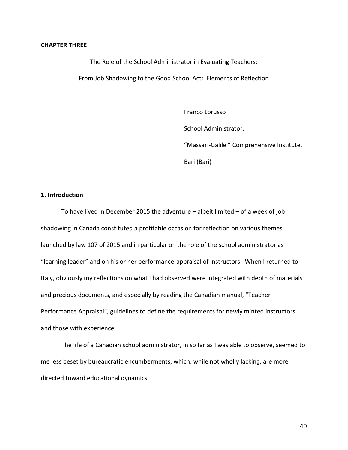#### **CHAPTER THREE**

The Role of the School Administrator in Evaluating Teachers: From Job Shadowing to the Good School Act: Elements of Reflection

Franco Lorusso

School Administrator,

"Massari-Galilei" Comprehensive Institute,

Bari (Bari)

## **1. Introduction**

To have lived in December 2015 the adventure – albeit limited – of a week of job shadowing in Canada constituted a profitable occasion for reflection on various themes launched by law 107 of 2015 and in particular on the role of the school administrator as "learning leader" and on his or her performance-appraisal of instructors. When I returned to Italy, obviously my reflections on what I had observed were integrated with depth of materials and precious documents, and especially by reading the Canadian manual, "Teacher Performance Appraisal", guidelines to define the requirements for newly minted instructors and those with experience.

The life of a Canadian school administrator, in so far as I was able to observe, seemed to me less beset by bureaucratic encumberments, which, while not wholly lacking, are more directed toward educational dynamics.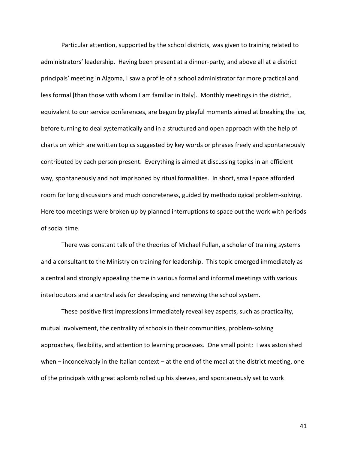Particular attention, supported by the school districts, was given to training related to administrators' leadership. Having been present at a dinner-party, and above all at a district principals' meeting in Algoma, I saw a profile of a school administrator far more practical and less formal [than those with whom I am familiar in Italy]. Monthly meetings in the district, equivalent to our service conferences, are begun by playful moments aimed at breaking the ice, before turning to deal systematically and in a structured and open approach with the help of charts on which are written topics suggested by key words or phrases freely and spontaneously contributed by each person present. Everything is aimed at discussing topics in an efficient way, spontaneously and not imprisoned by ritual formalities. In short, small space afforded room for long discussions and much concreteness, guided by methodological problem-solving. Here too meetings were broken up by planned interruptions to space out the work with periods of social time.

There was constant talk of the theories of Michael Fullan, a scholar of training systems and a consultant to the Ministry on training for leadership. This topic emerged immediately as a central and strongly appealing theme in various formal and informal meetings with various interlocutors and a central axis for developing and renewing the school system.

These positive first impressions immediately reveal key aspects, such as practicality, mutual involvement, the centrality of schools in their communities, problem-solving approaches, flexibility, and attention to learning processes. One small point: I was astonished when  $-$  inconceivably in the Italian context  $-$  at the end of the meal at the district meeting, one of the principals with great aplomb rolled up his sleeves, and spontaneously set to work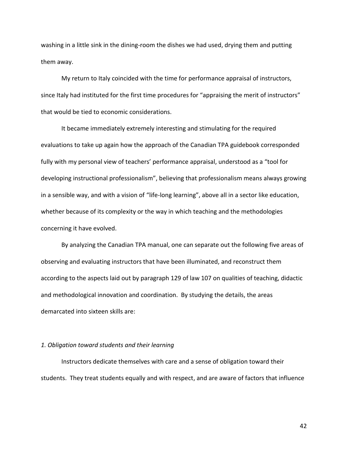washing in a little sink in the dining-room the dishes we had used, drying them and putting them away.

My return to Italy coincided with the time for performance appraisal of instructors, since Italy had instituted for the first time procedures for "appraising the merit of instructors" that would be tied to economic considerations.

It became immediately extremely interesting and stimulating for the required evaluations to take up again how the approach of the Canadian TPA guidebook corresponded fully with my personal view of teachers' performance appraisal, understood as a "tool for developing instructional professionalism", believing that professionalism means always growing in a sensible way, and with a vision of "life-long learning", above all in a sector like education, whether because of its complexity or the way in which teaching and the methodologies concerning it have evolved.

By analyzing the Canadian TPA manual, one can separate out the following five areas of observing and evaluating instructors that have been illuminated, and reconstruct them according to the aspects laid out by paragraph 129 of law 107 on qualities of teaching, didactic and methodological innovation and coordination. By studying the details, the areas demarcated into sixteen skills are:

## *1. Obligation toward students and their learning*

Instructors dedicate themselves with care and a sense of obligation toward their students. They treat students equally and with respect, and are aware of factors that influence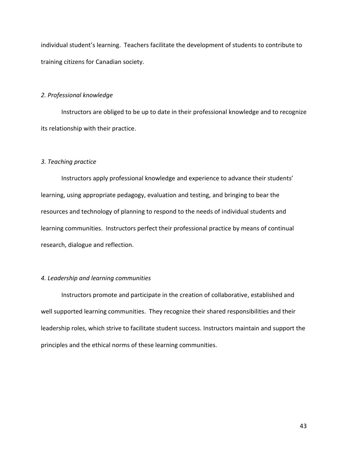individual student's learning. Teachers facilitate the development of students to contribute to training citizens for Canadian society.

## *2. Professional knowledge*

Instructors are obliged to be up to date in their professional knowledge and to recognize its relationship with their practice.

## *3. Teaching practice*

Instructors apply professional knowledge and experience to advance their students' learning, using appropriate pedagogy, evaluation and testing, and bringing to bear the resources and technology of planning to respond to the needs of individual students and learning communities. Instructors perfect their professional practice by means of continual research, dialogue and reflection.

## *4. Leadership and learning communities*

Instructors promote and participate in the creation of collaborative, established and well supported learning communities. They recognize their shared responsibilities and their leadership roles, which strive to facilitate student success. Instructors maintain and support the principles and the ethical norms of these learning communities.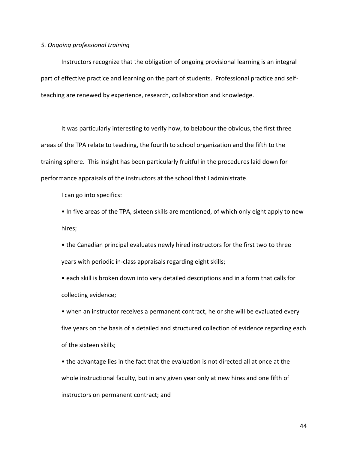#### *5. Ongoing professional training*

Instructors recognize that the obligation of ongoing provisional learning is an integral part of effective practice and learning on the part of students. Professional practice and selfteaching are renewed by experience, research, collaboration and knowledge.

It was particularly interesting to verify how, to belabour the obvious, the first three areas of the TPA relate to teaching, the fourth to school organization and the fifth to the training sphere. This insight has been particularly fruitful in the procedures laid down for performance appraisals of the instructors at the school that I administrate.

I can go into specifics:

• In five areas of the TPA, sixteen skills are mentioned, of which only eight apply to new hires;

• the Canadian principal evaluates newly hired instructors for the first two to three years with periodic in-class appraisals regarding eight skills;

• each skill is broken down into very detailed descriptions and in a form that calls for collecting evidence;

• when an instructor receives a permanent contract, he or she will be evaluated every five years on the basis of a detailed and structured collection of evidence regarding each of the sixteen skills;

• the advantage lies in the fact that the evaluation is not directed all at once at the whole instructional faculty, but in any given year only at new hires and one fifth of instructors on permanent contract; and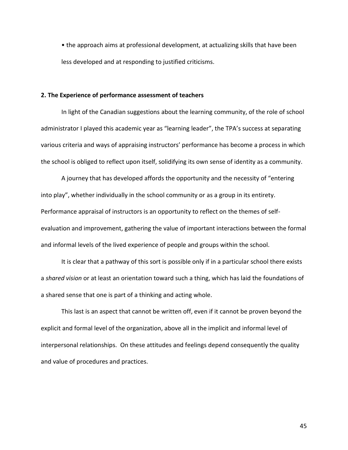• the approach aims at professional development, at actualizing skills that have been less developed and at responding to justified criticisms.

### **2. The Experience of performance assessment of teachers**

In light of the Canadian suggestions about the learning community, of the role of school administrator I played this academic year as "learning leader", the TPA's success at separating various criteria and ways of appraising instructors' performance has become a process in which the school is obliged to reflect upon itself, solidifying its own sense of identity as a community.

A journey that has developed affords the opportunity and the necessity of "entering into play", whether individually in the school community or as a group in its entirety. Performance appraisal of instructors is an opportunity to reflect on the themes of selfevaluation and improvement, gathering the value of important interactions between the formal and informal levels of the lived experience of people and groups within the school.

It is clear that a pathway of this sort is possible only if in a particular school there exists a *shared vision* or at least an orientation toward such a thing, which has laid the foundations of a shared sense that one is part of a thinking and acting whole.

This last is an aspect that cannot be written off, even if it cannot be proven beyond the explicit and formal level of the organization, above all in the implicit and informal level of interpersonal relationships. On these attitudes and feelings depend consequently the quality and value of procedures and practices.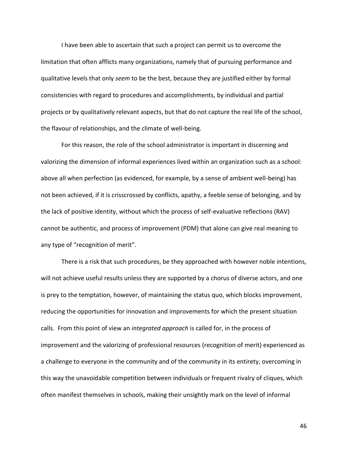I have been able to ascertain that such a project can permit us to overcome the limitation that often afflicts many organizations, namely that of pursuing performance and qualitative levels that only *seem* to be the best, because they are justified either by formal consistencies with regard to procedures and accomplishments, by individual and partial projects or by qualitatively relevant aspects, but that do not capture the real life of the school, the flavour of relationships, and the climate of well-being.

For this reason, the role of the school administrator is important in discerning and valorizing the dimension of informal experiences lived within an organization such as a school: above all when perfection (as evidenced, for example, by a sense of ambient well-being) has not been achieved, if it is crisscrossed by conflicts, apathy, a feeble sense of belonging, and by the lack of positive identity, without which the process of self-evaluative reflections (RAV) cannot be authentic, and process of improvement (PDM) that alone can give real meaning to any type of "recognition of merit".

There is a risk that such procedures, be they approached with however noble intentions, will not achieve useful results unless they are supported by a chorus of diverse actors, and one is prey to the temptation, however, of maintaining the status quo, which blocks improvement, reducing the opportunities for innovation and improvements for which the present situation calls. From this point of view an *integrated approach* is called for, in the process of improvement and the valorizing of professional resources (recognition of merit) experienced as a challenge to everyone in the community and of the community in its entirety, overcoming in this way the unavoidable competition between individuals or frequent rivalry of cliques, which often manifest themselves in schools, making their unsightly mark on the level of informal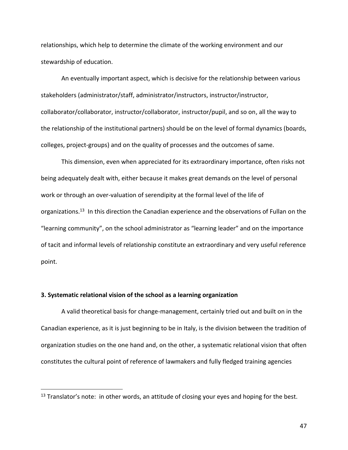relationships, which help to determine the climate of the working environment and our stewardship of education.

An eventually important aspect, which is decisive for the relationship between various stakeholders (administrator/staff, administrator/instructors, instructor/instructor, collaborator/collaborator, instructor/collaborator, instructor/pupil, and so on, all the way to the relationship of the institutional partners) should be on the level of formal dynamics (boards, colleges, project-groups) and on the quality of processes and the outcomes of same.

This dimension, even when appreciated for its extraordinary importance, often risks not being adequately dealt with, either because it makes great demands on the level of personal work or through an over-valuation of serendipity at the formal level of the life of organizations.<sup>13</sup> In this direction the Canadian experience and the observations of Fullan on the "learning community", on the school administrator as "learning leader" and on the importance of tacit and informal levels of relationship constitute an extraordinary and very useful reference point.

## **3. Systematic relational vision of the school as a learning organization**

 $\overline{a}$ 

A valid theoretical basis for change-management, certainly tried out and built on in the Canadian experience, as it is just beginning to be in Italy, is the division between the tradition of organization studies on the one hand and, on the other, a systematic relational vision that often constitutes the cultural point of reference of lawmakers and fully fledged training agencies

 $13$  Translator's note: in other words, an attitude of closing your eyes and hoping for the best.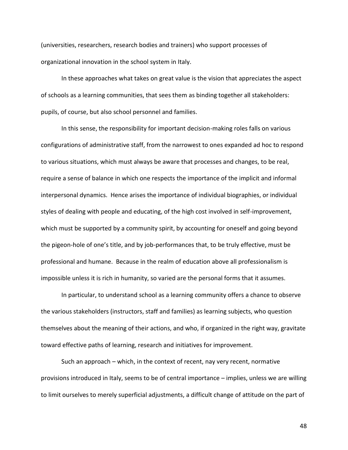(universities, researchers, research bodies and trainers) who support processes of organizational innovation in the school system in Italy.

In these approaches what takes on great value is the vision that appreciates the aspect of schools as a learning communities, that sees them as binding together all stakeholders: pupils, of course, but also school personnel and families.

In this sense, the responsibility for important decision-making roles falls on various configurations of administrative staff, from the narrowest to ones expanded ad hoc to respond to various situations, which must always be aware that processes and changes, to be real, require a sense of balance in which one respects the importance of the implicit and informal interpersonal dynamics. Hence arises the importance of individual biographies, or individual styles of dealing with people and educating, of the high cost involved in self-improvement, which must be supported by a community spirit, by accounting for oneself and going beyond the pigeon-hole of one's title, and by job-performances that, to be truly effective, must be professional and humane. Because in the realm of education above all professionalism is impossible unless it is rich in humanity, so varied are the personal forms that it assumes.

In particular, to understand school as a learning community offers a chance to observe the various stakeholders (instructors, staff and families) as learning subjects, who question themselves about the meaning of their actions, and who, if organized in the right way, gravitate toward effective paths of learning, research and initiatives for improvement.

Such an approach – which, in the context of recent, nay very recent, normative provisions introduced in Italy, seems to be of central importance – implies, unless we are willing to limit ourselves to merely superficial adjustments, a difficult change of attitude on the part of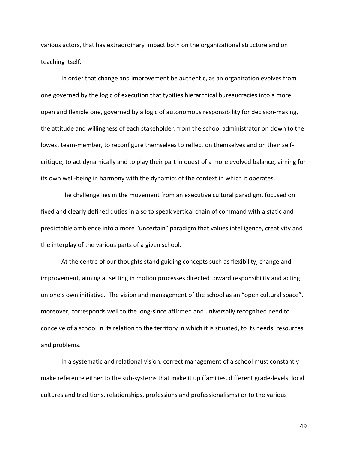various actors, that has extraordinary impact both on the organizational structure and on teaching itself.

In order that change and improvement be authentic, as an organization evolves from one governed by the logic of execution that typifies hierarchical bureaucracies into a more open and flexible one, governed by a logic of autonomous responsibility for decision-making, the attitude and willingness of each stakeholder, from the school administrator on down to the lowest team-member, to reconfigure themselves to reflect on themselves and on their selfcritique, to act dynamically and to play their part in quest of a more evolved balance, aiming for its own well-being in harmony with the dynamics of the context in which it operates.

The challenge lies in the movement from an executive cultural paradigm, focused on fixed and clearly defined duties in a so to speak vertical chain of command with a static and predictable ambience into a more "uncertain" paradigm that values intelligence, creativity and the interplay of the various parts of a given school.

At the centre of our thoughts stand guiding concepts such as flexibility, change and improvement, aiming at setting in motion processes directed toward responsibility and acting on one's own initiative. The vision and management of the school as an "open cultural space", moreover, corresponds well to the long-since affirmed and universally recognized need to conceive of a school in its relation to the territory in which it is situated, to its needs, resources and problems.

In a systematic and relational vision, correct management of a school must constantly make reference either to the sub-systems that make it up (families, different grade-levels, local cultures and traditions, relationships, professions and professionalisms) or to the various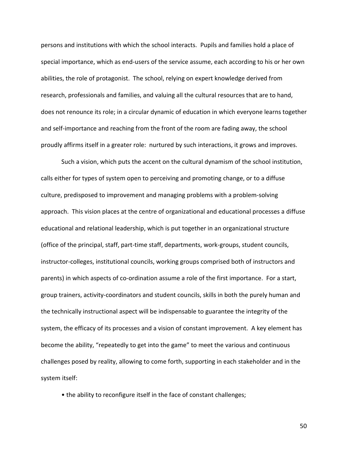persons and institutions with which the school interacts. Pupils and families hold a place of special importance, which as end-users of the service assume, each according to his or her own abilities, the role of protagonist. The school, relying on expert knowledge derived from research, professionals and families, and valuing all the cultural resources that are to hand, does not renounce its role; in a circular dynamic of education in which everyone learns together and self-importance and reaching from the front of the room are fading away, the school proudly affirms itself in a greater role: nurtured by such interactions, it grows and improves.

Such a vision, which puts the accent on the cultural dynamism of the school institution, calls either for types of system open to perceiving and promoting change, or to a diffuse culture, predisposed to improvement and managing problems with a problem-solving approach. This vision places at the centre of organizational and educational processes a diffuse educational and relational leadership, which is put together in an organizational structure (office of the principal, staff, part-time staff, departments, work-groups, student councils, instructor-colleges, institutional councils, working groups comprised both of instructors and parents) in which aspects of co-ordination assume a role of the first importance. For a start, group trainers, activity-coordinators and student councils, skills in both the purely human and the technically instructional aspect will be indispensable to guarantee the integrity of the system, the efficacy of its processes and a vision of constant improvement. A key element has become the ability, "repeatedly to get into the game" to meet the various and continuous challenges posed by reality, allowing to come forth, supporting in each stakeholder and in the system itself:

• the ability to reconfigure itself in the face of constant challenges;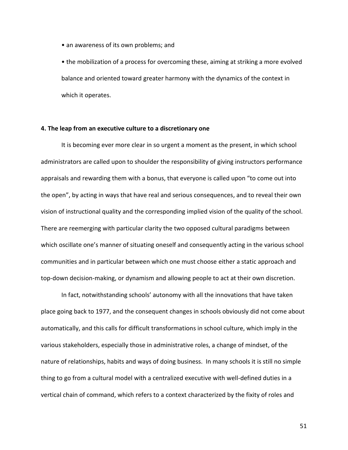• an awareness of its own problems; and

• the mobilization of a process for overcoming these, aiming at striking a more evolved balance and oriented toward greater harmony with the dynamics of the context in which it operates.

## **4. The leap from an executive culture to a discretionary one**

It is becoming ever more clear in so urgent a moment as the present, in which school administrators are called upon to shoulder the responsibility of giving instructors performance appraisals and rewarding them with a bonus, that everyone is called upon "to come out into the open", by acting in ways that have real and serious consequences, and to reveal their own vision of instructional quality and the corresponding implied vision of the quality of the school. There are reemerging with particular clarity the two opposed cultural paradigms between which oscillate one's manner of situating oneself and consequently acting in the various school communities and in particular between which one must choose either a static approach and top-down decision-making, or dynamism and allowing people to act at their own discretion.

In fact, notwithstanding schools' autonomy with all the innovations that have taken place going back to 1977, and the consequent changes in schools obviously did not come about automatically, and this calls for difficult transformations in school culture, which imply in the various stakeholders, especially those in administrative roles, a change of mindset, of the nature of relationships, habits and ways of doing business. In many schools it is still no simple thing to go from a cultural model with a centralized executive with well-defined duties in a vertical chain of command, which refers to a context characterized by the fixity of roles and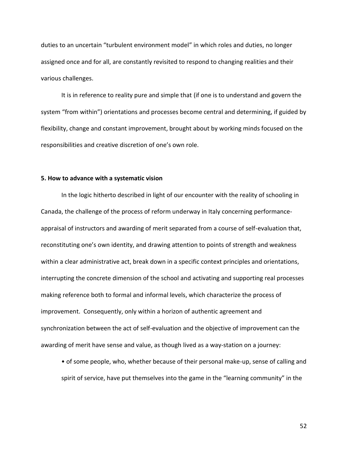duties to an uncertain "turbulent environment model" in which roles and duties, no longer assigned once and for all, are constantly revisited to respond to changing realities and their various challenges.

It is in reference to reality pure and simple that (if one is to understand and govern the system "from within") orientations and processes become central and determining, if guided by flexibility, change and constant improvement, brought about by working minds focused on the responsibilities and creative discretion of one's own role.

### **5. How to advance with a systematic vision**

In the logic hitherto described in light of our encounter with the reality of schooling in Canada, the challenge of the process of reform underway in Italy concerning performanceappraisal of instructors and awarding of merit separated from a course of self-evaluation that, reconstituting one's own identity, and drawing attention to points of strength and weakness within a clear administrative act, break down in a specific context principles and orientations, interrupting the concrete dimension of the school and activating and supporting real processes making reference both to formal and informal levels, which characterize the process of improvement. Consequently, only within a horizon of authentic agreement and synchronization between the act of self-evaluation and the objective of improvement can the awarding of merit have sense and value, as though lived as a way-station on a journey:

• of some people, who, whether because of their personal make-up, sense of calling and spirit of service, have put themselves into the game in the "learning community" in the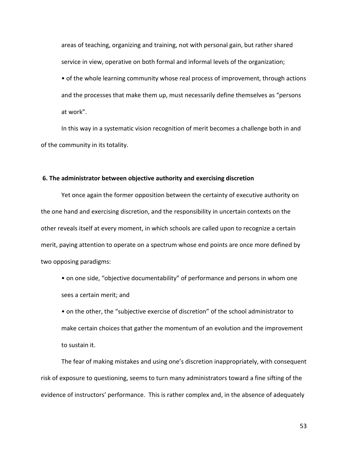areas of teaching, organizing and training, not with personal gain, but rather shared service in view, operative on both formal and informal levels of the organization;

• of the whole learning community whose real process of improvement, through actions and the processes that make them up, must necessarily define themselves as "persons at work".

In this way in a systematic vision recognition of merit becomes a challenge both in and of the community in its totality.

### **6. The administrator between objective authority and exercising discretion**

Yet once again the former opposition between the certainty of executive authority on the one hand and exercising discretion, and the responsibility in uncertain contexts on the other reveals itself at every moment, in which schools are called upon to recognize a certain merit, paying attention to operate on a spectrum whose end points are once more defined by two opposing paradigms:

• on one side, "objective documentability" of performance and persons in whom one sees a certain merit; and

• on the other, the "subjective exercise of discretion" of the school administrator to make certain choices that gather the momentum of an evolution and the improvement to sustain it.

The fear of making mistakes and using one's discretion inappropriately, with consequent risk of exposure to questioning, seems to turn many administrators toward a fine sifting of the evidence of instructors' performance. This is rather complex and, in the absence of adequately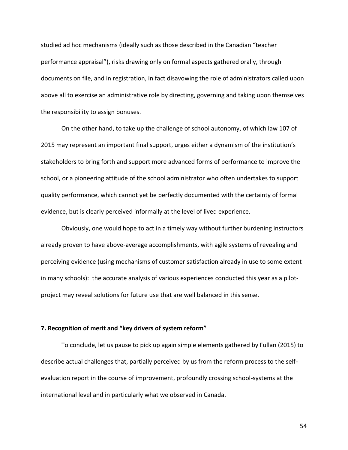studied ad hoc mechanisms (ideally such as those described in the Canadian "teacher performance appraisal"), risks drawing only on formal aspects gathered orally, through documents on file, and in registration, in fact disavowing the role of administrators called upon above all to exercise an administrative role by directing, governing and taking upon themselves the responsibility to assign bonuses.

On the other hand, to take up the challenge of school autonomy, of which law 107 of 2015 may represent an important final support, urges either a dynamism of the institution's stakeholders to bring forth and support more advanced forms of performance to improve the school, or a pioneering attitude of the school administrator who often undertakes to support quality performance, which cannot yet be perfectly documented with the certainty of formal evidence, but is clearly perceived informally at the level of lived experience.

Obviously, one would hope to act in a timely way without further burdening instructors already proven to have above-average accomplishments, with agile systems of revealing and perceiving evidence (using mechanisms of customer satisfaction already in use to some extent in many schools): the accurate analysis of various experiences conducted this year as a pilotproject may reveal solutions for future use that are well balanced in this sense.

## **7. Recognition of merit and "key drivers of system reform"**

To conclude, let us pause to pick up again simple elements gathered by Fullan (2015) to describe actual challenges that, partially perceived by us from the reform process to the selfevaluation report in the course of improvement, profoundly crossing school-systems at the international level and in particularly what we observed in Canada.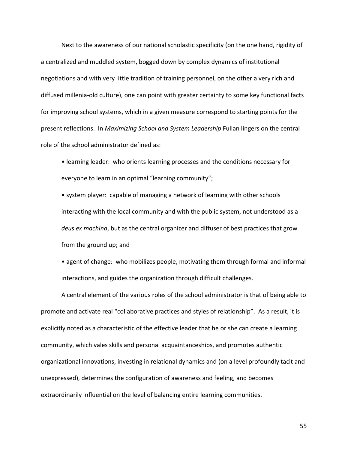Next to the awareness of our national scholastic specificity (on the one hand, rigidity of a centralized and muddled system, bogged down by complex dynamics of institutional negotiations and with very little tradition of training personnel, on the other a very rich and diffused millenia-old culture), one can point with greater certainty to some key functional facts for improving school systems, which in a given measure correspond to starting points for the present reflections. In *Maximizing School and System Leadership* Fullan lingers on the central role of the school administrator defined as:

• learning leader: who orients learning processes and the conditions necessary for everyone to learn in an optimal "learning community";

• system player: capable of managing a network of learning with other schools interacting with the local community and with the public system, not understood as a *deus ex machina*, but as the central organizer and diffuser of best practices that grow from the ground up; and

• agent of change: who mobilizes people, motivating them through formal and informal interactions, and guides the organization through difficult challenges.

A central element of the various roles of the school administrator is that of being able to promote and activate real "collaborative practices and styles of relationship". As a result, it is explicitly noted as a characteristic of the effective leader that he or she can create a learning community, which vales skills and personal acquaintanceships, and promotes authentic organizational innovations, investing in relational dynamics and (on a level profoundly tacit and unexpressed), determines the configuration of awareness and feeling, and becomes extraordinarily influential on the level of balancing entire learning communities.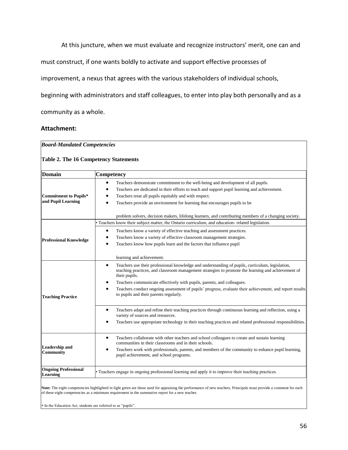At this juncture, when we must evaluate and recognize instructors' merit, one can and

must construct, if one wants boldly to activate and support effective processes of

improvement, a nexus that agrees with the various stakeholders of individual schools,

beginning with administrators and staff colleagues, to enter into play both personally and as a

community as a whole.

## **Attachment:**

| Domain                                             | Competency                                                                                                                                                                                                                                                                                                                                                                                                                                                         |  |  |  |
|----------------------------------------------------|--------------------------------------------------------------------------------------------------------------------------------------------------------------------------------------------------------------------------------------------------------------------------------------------------------------------------------------------------------------------------------------------------------------------------------------------------------------------|--|--|--|
| <b>Commitment to Pupils*</b><br>and Pupil Learning | Teachers demonstrate commitment to the well-being and development of all pupils.<br>$\bullet$<br>Teachers are dedicated in their efforts to teach and support pupil learning and achievement.<br>Teachers treat all pupils equitably and with respect.<br>Teachers provide an environment for learning that encourages pupils to be<br>$\bullet$<br>problem solvers, decision makers, lifelong learners, and contributing members of a changing society.           |  |  |  |
|                                                    | • Teachers know their subject matter, the Ontario curriculum, and education-related legislation.                                                                                                                                                                                                                                                                                                                                                                   |  |  |  |
| <b>Professional Knowledge</b>                      | Teachers know a variety of effective teaching and assessment practices.<br>Teachers know a variety of effective classroom management strategies.<br>Teachers know how pupils learn and the factors that influence pupil                                                                                                                                                                                                                                            |  |  |  |
|                                                    | learning and achievement.                                                                                                                                                                                                                                                                                                                                                                                                                                          |  |  |  |
| <b>Teaching Practice</b>                           | Teachers use their professional knowledge and understanding of pupils, curriculum, legislation,<br>$\bullet$<br>teaching practices, and classroom management strategies to promote the learning and achievement of<br>their pupils.<br>Teachers communicate effectively with pupils, parents, and colleagues.<br>Teachers conduct ongoing assessment of pupils' progress, evaluate their achievement, and report results<br>to pupils and their parents regularly. |  |  |  |
|                                                    | Teachers adapt and refine their teaching practices through continuous learning and reflection, using a<br>variety of sources and resources.                                                                                                                                                                                                                                                                                                                        |  |  |  |
|                                                    | Teachers use appropriate technology in their teaching practices and related professional responsibilities.                                                                                                                                                                                                                                                                                                                                                         |  |  |  |
| <b>Leadership and</b><br>Community                 | Teachers collaborate with other teachers and school colleagues to create and sustain learning<br>$\bullet$<br>communities in their classrooms and in their schools.<br>Teachers work with professionals, parents, and members of the community to enhance pupil learning,<br>$\bullet$<br>pupil achievement, and school programs.                                                                                                                                  |  |  |  |
| <b>Ongoing Professional</b><br><b>Learning</b>     | • Teachers engage in ongoing professional learning and apply it to improve their teaching practices.                                                                                                                                                                                                                                                                                                                                                               |  |  |  |

**Note:** The eight competencies highlighted in light green are those used for appraising the performance of new teachers. Principals must provide a comment for each of these eight competencies as a minimum requirement in the summative report for a new teacher.

∗ In the Education Act, students are referred to as "pupils".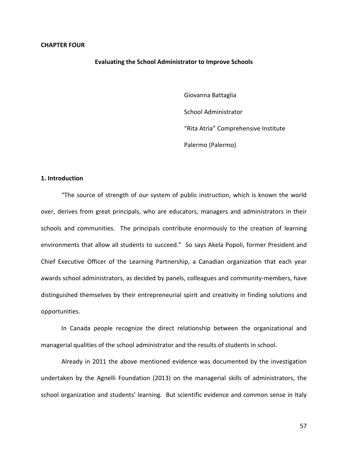**Evaluating the School Administrator to Improve Schools**

Giovanna Battaglia School Administrator "Rita Atria" Comprehensive Institute Palermo (Palermo)

### **1. Introduction**

"The source of strength of our system of public instruction, which is known the world over, derives from great principals, who are educators, managers and administrators in their schools and communities. The principals contribute enormously to the creation of learning environments that allow all students to succeed." So says Akela Popoli, former President and Chief Executive Officer of the Learning Partnership, a Canadian organization that each year awards school administrators, as decided by panels, colleagues and community-members, have distinguished themselves by their entrepreneurial spirit and creativity in finding solutions and opportunities.

In Canada people recognize the direct relationship between the organizational and managerial qualities of the school administrator and the results of students in school.

Already in 2011 the above mentioned evidence was documented by the investigation undertaken by the Agnelli Foundation (2013) on the managerial skills of administrators, the school organization and students' learning. But scientific evidence and common sense in Italy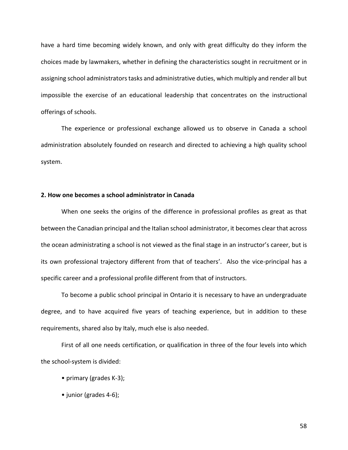have a hard time becoming widely known, and only with great difficulty do they inform the choices made by lawmakers, whether in defining the characteristics sought in recruitment or in assigning school administrators tasks and administrative duties, which multiply and render all but impossible the exercise of an educational leadership that concentrates on the instructional offerings of schools.

The experience or professional exchange allowed us to observe in Canada a school administration absolutely founded on research and directed to achieving a high quality school system.

## **2. How one becomes a school administrator in Canada**

When one seeks the origins of the difference in professional profiles as great as that between the Canadian principal and the Italian school administrator, it becomes clear that across the ocean administrating a school is not viewed as the final stage in an instructor's career, but is its own professional trajectory different from that of teachers'. Also the vice-principal has a specific career and a professional profile different from that of instructors.

To become a public school principal in Ontario it is necessary to have an undergraduate degree, and to have acquired five years of teaching experience, but in addition to these requirements, shared also by Italy, much else is also needed.

First of all one needs certification, or qualification in three of the four levels into which the school-system is divided:

- primary (grades K-3);
- junior (grades 4-6);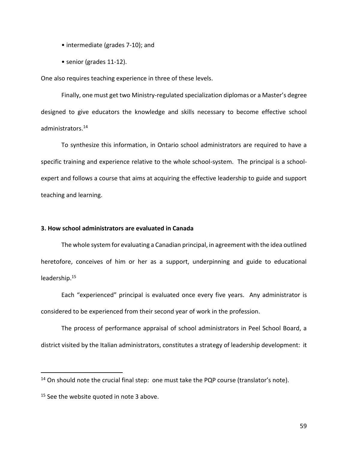- intermediate (grades 7-10); and
- senior (grades 11-12).

One also requires teaching experience in three of these levels.

Finally, one must get two Ministry-regulated specialization diplomas or a Master's degree designed to give educators the knowledge and skills necessary to become effective school administrators.<sup>14</sup>

To synthesize this information, in Ontario school administrators are required to have a specific training and experience relative to the whole school-system. The principal is a schoolexpert and follows a course that aims at acquiring the effective leadership to guide and support teaching and learning.

## **3. How school administrators are evaluated in Canada**

The whole system for evaluating a Canadian principal, in agreement with the idea outlined heretofore, conceives of him or her as a support, underpinning and guide to educational leadership.<sup>15</sup>

Each "experienced" principal is evaluated once every five years. Any administrator is considered to be experienced from their second year of work in the profession.

The process of performance appraisal of school administrators in Peel School Board, a district visited by the Italian administrators, constitutes a strategy of leadership development: it

 $\overline{a}$ 

 $14$  On should note the crucial final step: one must take the PQP course (translator's note).

<sup>&</sup>lt;sup>15</sup> See the website quoted in note 3 above.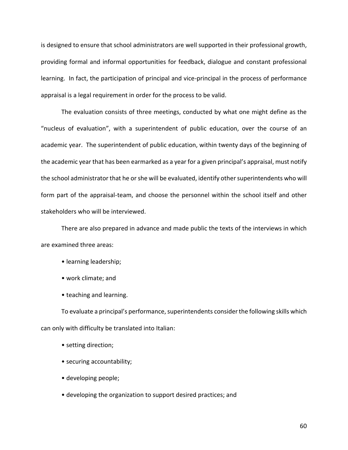is designed to ensure that school administrators are well supported in their professional growth, providing formal and informal opportunities for feedback, dialogue and constant professional learning. In fact, the participation of principal and vice-principal in the process of performance appraisal is a legal requirement in order for the process to be valid.

The evaluation consists of three meetings, conducted by what one might define as the "nucleus of evaluation", with a superintendent of public education, over the course of an academic year. The superintendent of public education, within twenty days of the beginning of the academic year that has been earmarked as a year for a given principal's appraisal, must notify the school administrator that he or she will be evaluated, identify other superintendents who will form part of the appraisal-team, and choose the personnel within the school itself and other stakeholders who will be interviewed.

There are also prepared in advance and made public the texts of the interviews in which are examined three areas:

- learning leadership;
- work climate; and
- teaching and learning.

To evaluate a principal's performance, superintendents consider the following skills which can only with difficulty be translated into Italian:

- setting direction;
- securing accountability;
- developing people;
- developing the organization to support desired practices; and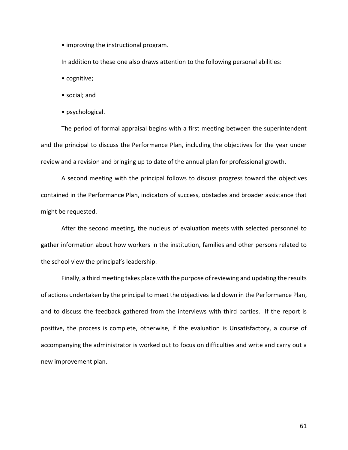• improving the instructional program.

In addition to these one also draws attention to the following personal abilities:

- cognitive;
- social; and
- psychological.

The period of formal appraisal begins with a first meeting between the superintendent and the principal to discuss the Performance Plan, including the objectives for the year under review and a revision and bringing up to date of the annual plan for professional growth.

A second meeting with the principal follows to discuss progress toward the objectives contained in the Performance Plan, indicators of success, obstacles and broader assistance that might be requested.

After the second meeting, the nucleus of evaluation meets with selected personnel to gather information about how workers in the institution, families and other persons related to the school view the principal's leadership.

Finally, a third meeting takes place with the purpose of reviewing and updating the results of actions undertaken by the principal to meet the objectives laid down in the Performance Plan, and to discuss the feedback gathered from the interviews with third parties. If the report is positive, the process is complete, otherwise, if the evaluation is Unsatisfactory, a course of accompanying the administrator is worked out to focus on difficulties and write and carry out a new improvement plan.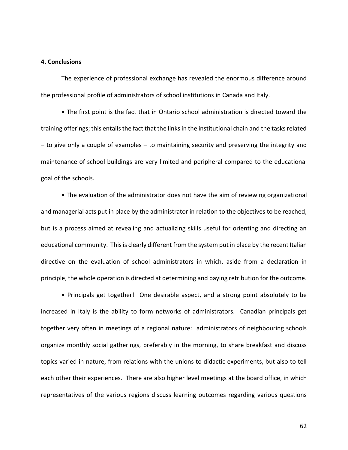### **4. Conclusions**

The experience of professional exchange has revealed the enormous difference around the professional profile of administrators of school institutions in Canada and Italy.

• The first point is the fact that in Ontario school administration is directed toward the training offerings; this entails the fact that the links in the institutional chain and the tasks related – to give only a couple of examples – to maintaining security and preserving the integrity and maintenance of school buildings are very limited and peripheral compared to the educational goal of the schools.

• The evaluation of the administrator does not have the aim of reviewing organizational and managerial acts put in place by the administrator in relation to the objectives to be reached, but is a process aimed at revealing and actualizing skills useful for orienting and directing an educational community. This is clearly different from the system put in place by the recent Italian directive on the evaluation of school administrators in which, aside from a declaration in principle, the whole operation is directed at determining and paying retribution for the outcome.

• Principals get together! One desirable aspect, and a strong point absolutely to be increased in Italy is the ability to form networks of administrators. Canadian principals get together very often in meetings of a regional nature: administrators of neighbouring schools organize monthly social gatherings, preferably in the morning, to share breakfast and discuss topics varied in nature, from relations with the unions to didactic experiments, but also to tell each other their experiences. There are also higher level meetings at the board office, in which representatives of the various regions discuss learning outcomes regarding various questions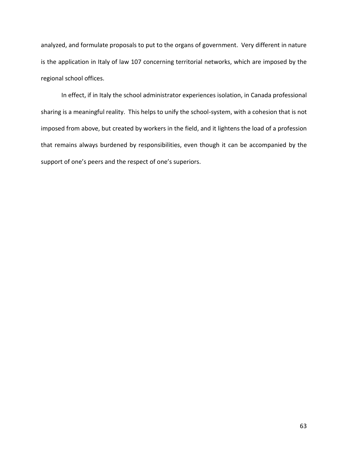analyzed, and formulate proposals to put to the organs of government. Very different in nature is the application in Italy of law 107 concerning territorial networks, which are imposed by the regional school offices.

In effect, if in Italy the school administrator experiences isolation, in Canada professional sharing is a meaningful reality. This helps to unify the school-system, with a cohesion that is not imposed from above, but created by workers in the field, and it lightens the load of a profession that remains always burdened by responsibilities, even though it can be accompanied by the support of one's peers and the respect of one's superiors.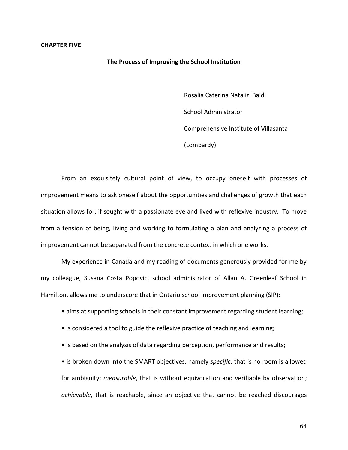#### **CHAPTER FIVE**

#### **The Process of Improving the School Institution**

Rosalia Caterina Natalizi Baldi School Administrator Comprehensive Institute of Villasanta (Lombardy)

From an exquisitely cultural point of view, to occupy oneself with processes of improvement means to ask oneself about the opportunities and challenges of growth that each situation allows for, if sought with a passionate eye and lived with reflexive industry. To move from a tension of being, living and working to formulating a plan and analyzing a process of improvement cannot be separated from the concrete context in which one works.

My experience in Canada and my reading of documents generously provided for me by my colleague, Susana Costa Popovic, school administrator of Allan A. Greenleaf School in Hamilton, allows me to underscore that in Ontario school improvement planning (SIP):

- aims at supporting schools in their constant improvement regarding student learning;
- is considered a tool to guide the reflexive practice of teaching and learning;
- is based on the analysis of data regarding perception, performance and results;

• is broken down into the SMART objectives, namely *specific*, that is no room is allowed for ambiguity; *measurable*, that is without equivocation and verifiable by observation; *achievable*, that is reachable, since an objective that cannot be reached discourages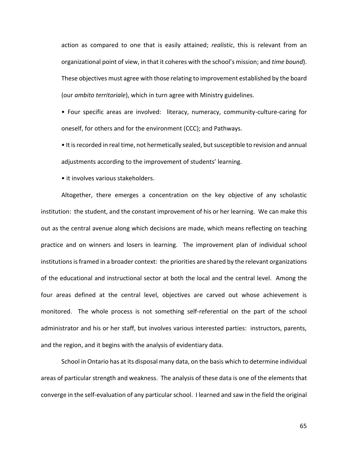action as compared to one that is easily attained; *realistic*, this is relevant from an organizational point of view, in that it coheres with the school's mission; and *time bound*). These objectives must agree with those relating to improvement established by the board (our *ambito territoriale*), which in turn agree with Ministry guidelines.

• Four specific areas are involved: literacy, numeracy, community-culture-caring for oneself, for others and for the environment (CCC); and Pathways.

• It is recorded in real time, not hermetically sealed, but susceptible to revision and annual adjustments according to the improvement of students' learning.

• it involves various stakeholders.

Altogether, there emerges a concentration on the key objective of any scholastic institution: the student, and the constant improvement of his or her learning. We can make this out as the central avenue along which decisions are made, which means reflecting on teaching practice and on winners and losers in learning. The improvement plan of individual school institutions is framed in a broader context: the priorities are shared by the relevant organizations of the educational and instructional sector at both the local and the central level. Among the four areas defined at the central level, objectives are carved out whose achievement is monitored. The whole process is not something self-referential on the part of the school administrator and his or her staff, but involves various interested parties: instructors, parents, and the region, and it begins with the analysis of evidentiary data.

School in Ontario has at its disposal many data, on the basis which to determine individual areas of particular strength and weakness. The analysis of these data is one of the elements that converge in the self-evaluation of any particular school. I learned and saw in the field the original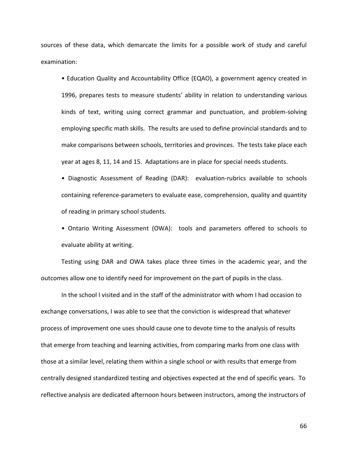sources of these data, which demarcate the limits for a possible work of study and careful examination:

• Education Quality and Accountability Office (EQAO), a government agency created in 1996, prepares tests to measure students' ability in relation to understanding various kinds of text, writing using correct grammar and punctuation, and problem-solving employing specific math skills. The results are used to define provincial standards and to make comparisons between schools, territories and provinces. The tests take place each year at ages 8, 11, 14 and 15. Adaptations are in place for special needs students.

• Diagnostic Assessment of Reading (DAR): evaluation-rubrics available to schools containing reference-parameters to evaluate ease, comprehension, quality and quantity of reading in primary school students.

• Ontario Writing Assessment (OWA): tools and parameters offered to schools to evaluate ability at writing.

Testing using DAR and OWA takes place three times in the academic year, and the outcomes allow one to identify need for improvement on the part of pupils in the class.

In the school I visited and in the staff of the administrator with whom I had occasion to exchange conversations, I was able to see that the conviction is widespread that whatever process of improvement one uses should cause one to devote time to the analysis of results that emerge from teaching and learning activities, from comparing marks from one class with those at a similar level, relating them within a single school or with results that emerge from centrally designed standardized testing and objectives expected at the end of specific years. To reflective analysis are dedicated afternoon hours between instructors, among the instructors of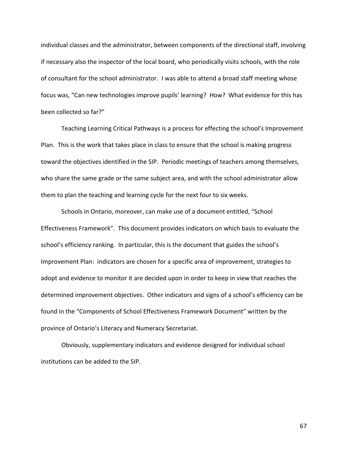individual classes and the administrator, between components of the directional staff, involving if necessary also the inspector of the local board, who periodically visits schools, with the role of consultant for the school administrator. I was able to attend a broad staff meeting whose focus was, "Can new technologies improve pupils' learning? How? What evidence for this has been collected so far?"

Teaching Learning Critical Pathways is a process for effecting the school's Improvement Plan. This is the work that takes place in class to ensure that the school is making progress toward the objectives identified in the SIP. Periodic meetings of teachers among themselves, who share the same grade or the same subject area, and with the school administrator allow them to plan the teaching and learning cycle for the next four to six weeks.

Schools in Ontario, moreover, can make use of a document entitled, "School Effectiveness Framework". This document provides indicators on which basis to evaluate the school's efficiency ranking. In particular, this is the document that guides the school's Improvement Plan: indicators are chosen for a specific area of improvement, strategies to adopt and evidence to monitor it are decided upon in order to keep in view that reaches the determined improvement objectives. Other indicators and signs of a school's efficiency can be found in the "Components of School Effectiveness Framework Document" written by the province of Ontario's Literacy and Numeracy Secretariat.

Obviously, supplementary indicators and evidence designed for individual school institutions can be added to the SIP.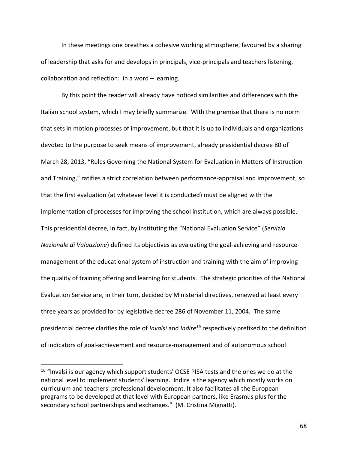In these meetings one breathes a cohesive working atmosphere, favoured by a sharing of leadership that asks for and develops in principals, vice-principals and teachers listening, collaboration and reflection: in a word – learning.

By this point the reader will already have noticed similarities and differences with the Italian school system, which I may briefly summarize. With the premise that there is no norm that sets in motion processes of improvement, but that it is up to individuals and organizations devoted to the purpose to seek means of improvement, already presidential decree 80 of March 28, 2013, "Rules Governing the National System for Evaluation in Matters of Instruction and Training," ratifies a strict correlation between performance-appraisal and improvement, so that the first evaluation (at whatever level it is conducted) must be aligned with the implementation of processes for improving the school institution, which are always possible. This presidential decree, in fact, by instituting the "National Evaluation Service" (*Servizio Nazionale di Valuazione*) defined its objectives as evaluating the goal-achieving and resourcemanagement of the educational system of instruction and training with the aim of improving the quality of training offering and learning for students. The strategic priorities of the National Evaluation Service are, in their turn, decided by Ministerial directives, renewed at least every three years as provided for by legislative decree 286 of November 11, 2004. The same presidential decree clarifies the role of *Invalsi* and *Indire<sup>16</sup>* respectively prefixed to the definition of indicators of goal-achievement and resource-management and of autonomous school

 $\overline{a}$ 

<sup>&</sup>lt;sup>16</sup> "Invalsi is our agency which support students' OCSE PISA tests and the ones we do at the national level to implement students' learning. Indire is the agency which mostly works on curriculum and teachers' professional development. It also facilitates all the European programs to be developed at that level with European partners, like Erasmus plus for the secondary school partnerships and exchanges." (M. Cristina Mignatti).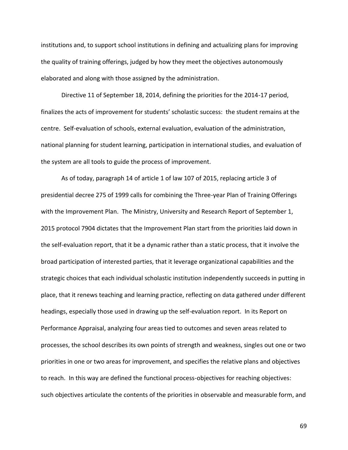institutions and, to support school institutions in defining and actualizing plans for improving the quality of training offerings, judged by how they meet the objectives autonomously elaborated and along with those assigned by the administration.

Directive 11 of September 18, 2014, defining the priorities for the 2014-17 period, finalizes the acts of improvement for students' scholastic success: the student remains at the centre. Self-evaluation of schools, external evaluation, evaluation of the administration, national planning for student learning, participation in international studies, and evaluation of the system are all tools to guide the process of improvement.

As of today, paragraph 14 of article 1 of law 107 of 2015, replacing article 3 of presidential decree 275 of 1999 calls for combining the Three-year Plan of Training Offerings with the Improvement Plan. The Ministry, University and Research Report of September 1, 2015 protocol 7904 dictates that the Improvement Plan start from the priorities laid down in the self-evaluation report, that it be a dynamic rather than a static process, that it involve the broad participation of interested parties, that it leverage organizational capabilities and the strategic choices that each individual scholastic institution independently succeeds in putting in place, that it renews teaching and learning practice, reflecting on data gathered under different headings, especially those used in drawing up the self-evaluation report. In its Report on Performance Appraisal, analyzing four areas tied to outcomes and seven areas related to processes, the school describes its own points of strength and weakness, singles out one or two priorities in one or two areas for improvement, and specifies the relative plans and objectives to reach. In this way are defined the functional process-objectives for reaching objectives: such objectives articulate the contents of the priorities in observable and measurable form, and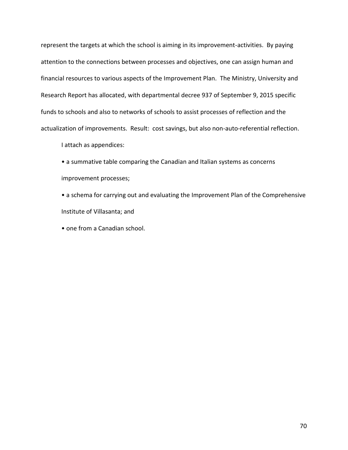represent the targets at which the school is aiming in its improvement-activities. By paying attention to the connections between processes and objectives, one can assign human and financial resources to various aspects of the Improvement Plan. The Ministry, University and Research Report has allocated, with departmental decree 937 of September 9, 2015 specific funds to schools and also to networks of schools to assist processes of reflection and the actualization of improvements. Result: cost savings, but also non-auto-referential reflection.

I attach as appendices:

• a summative table comparing the Canadian and Italian systems as concerns improvement processes;

• a schema for carrying out and evaluating the Improvement Plan of the Comprehensive Institute of Villasanta; and

• one from a Canadian school.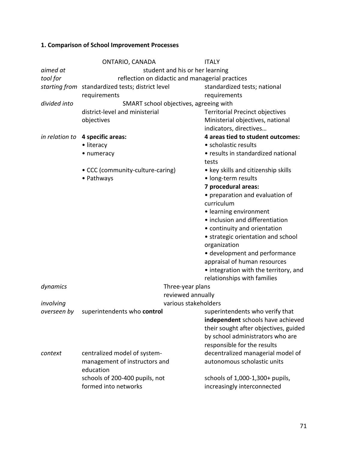# **1. Comparison of School Improvement Processes**

|              | ONTARIO, CANADA                                  |                      | <b>ITALY</b>                           |  |  |
|--------------|--------------------------------------------------|----------------------|----------------------------------------|--|--|
| aimed at     | student and his or her learning                  |                      |                                        |  |  |
| tool for     | reflection on didactic and managerial practices  |                      |                                        |  |  |
|              | starting from standardized tests; district level |                      | standardized tests; national           |  |  |
|              | requirements                                     |                      | requirements                           |  |  |
| divided into | SMART school objectives, agreeing with           |                      |                                        |  |  |
|              | district-level and ministerial                   |                      | <b>Territorial Precinct objectives</b> |  |  |
|              | objectives                                       |                      | Ministerial objectives, national       |  |  |
|              |                                                  |                      | indicators, directives                 |  |  |
|              | in relation to 4 specific areas:                 |                      | 4 areas tied to student outcomes:      |  |  |
|              | • literacy                                       |                      | • scholastic results                   |  |  |
|              | • numeracy                                       |                      | • results in standardized national     |  |  |
|              |                                                  |                      | tests                                  |  |  |
|              | • CCC (community-culture-caring)                 |                      | • key skills and citizenship skills    |  |  |
|              | • Pathways                                       |                      | · long-term results                    |  |  |
|              |                                                  |                      | 7 procedural areas:                    |  |  |
|              |                                                  |                      | • preparation and evaluation of        |  |  |
|              |                                                  |                      | curriculum                             |  |  |
|              |                                                  |                      | • learning environment                 |  |  |
|              |                                                  |                      | · inclusion and differentiation        |  |  |
|              |                                                  |                      | • continuity and orientation           |  |  |
|              |                                                  |                      | • strategic orientation and school     |  |  |
|              |                                                  |                      | organization                           |  |  |
|              |                                                  |                      | · development and performance          |  |  |
|              |                                                  |                      | appraisal of human resources           |  |  |
|              |                                                  |                      | • integration with the territory, and  |  |  |
|              |                                                  |                      | relationships with families            |  |  |
| dynamics     | Three-year plans                                 |                      |                                        |  |  |
|              |                                                  | reviewed annually    |                                        |  |  |
| involving    |                                                  | various stakeholders |                                        |  |  |
|              | overseen by superintendents who control          |                      | superintendents who verify that        |  |  |
|              |                                                  |                      | independent schools have achieved      |  |  |
|              |                                                  |                      | their sought after objectives, guided  |  |  |
|              |                                                  |                      | by school administrators who are       |  |  |
|              |                                                  |                      | responsible for the results            |  |  |
| context      | centralized model of system-                     |                      | decentralized managerial model of      |  |  |
|              | management of instructors and                    |                      | autonomous scholastic units            |  |  |
|              | education                                        |                      |                                        |  |  |
|              | schools of 200-400 pupils, not                   |                      | schools of 1,000-1,300+ pupils,        |  |  |
|              | formed into networks                             |                      | increasingly interconnected            |  |  |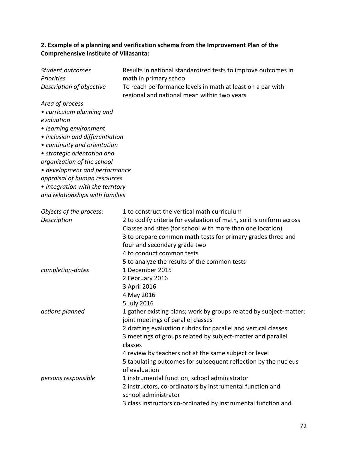## **2. Example of a planning and verification schema from the Improvement Plan of the Comprehensive Institute of Villasanta:**

| Student outcomes                 | Results in national standardized tests to improve outcomes in        |  |  |  |
|----------------------------------|----------------------------------------------------------------------|--|--|--|
| Priorities                       | math in primary school                                               |  |  |  |
| Description of objective         | To reach performance levels in math at least on a par with           |  |  |  |
|                                  | regional and national mean within two years                          |  |  |  |
| Area of process                  |                                                                      |  |  |  |
| • curriculum planning and        |                                                                      |  |  |  |
| evaluation                       |                                                                      |  |  |  |
| • learning environment           |                                                                      |  |  |  |
| · inclusion and differentiation  |                                                                      |  |  |  |
| • continuity and orientation     |                                                                      |  |  |  |
| • strategic orientation and      |                                                                      |  |  |  |
| organization of the school       |                                                                      |  |  |  |
| • development and performance    |                                                                      |  |  |  |
| appraisal of human resources     |                                                                      |  |  |  |
| • integration with the territory |                                                                      |  |  |  |
| and relationships with families  |                                                                      |  |  |  |
|                                  |                                                                      |  |  |  |
| Objects of the process:          | 1 to construct the vertical math curriculum                          |  |  |  |
| Description                      | 2 to codify criteria for evaluation of math, so it is uniform across |  |  |  |
|                                  | Classes and sites (for school with more than one location)           |  |  |  |
|                                  | 3 to prepare common math tests for primary grades three and          |  |  |  |
|                                  | four and secondary grade two                                         |  |  |  |
|                                  | 4 to conduct common tests                                            |  |  |  |
|                                  | 5 to analyze the results of the common tests                         |  |  |  |
| completion-dates                 | 1 December 2015                                                      |  |  |  |
|                                  | 2 February 2016                                                      |  |  |  |
|                                  | 3 April 2016                                                         |  |  |  |
|                                  | 4 May 2016                                                           |  |  |  |
|                                  | 5 July 2016                                                          |  |  |  |
| actions planned                  | 1 gather existing plans; work by groups related by subject-matter;   |  |  |  |
|                                  | joint meetings of parallel classes                                   |  |  |  |
|                                  | 2 drafting evaluation rubrics for parallel and vertical classes      |  |  |  |
|                                  | 3 meetings of groups related by subject-matter and parallel          |  |  |  |
|                                  | classes                                                              |  |  |  |
|                                  | 4 review by teachers not at the same subject or level                |  |  |  |
|                                  | 5 tabulating outcomes for subsequent reflection by the nucleus       |  |  |  |
|                                  | of evaluation                                                        |  |  |  |
| persons responsible              | 1 instrumental function, school administrator                        |  |  |  |
|                                  | 2 instructors, co-ordinators by instrumental function and            |  |  |  |
|                                  | school administrator                                                 |  |  |  |
|                                  | 3 class instructors co-ordinated by instrumental function and        |  |  |  |
|                                  |                                                                      |  |  |  |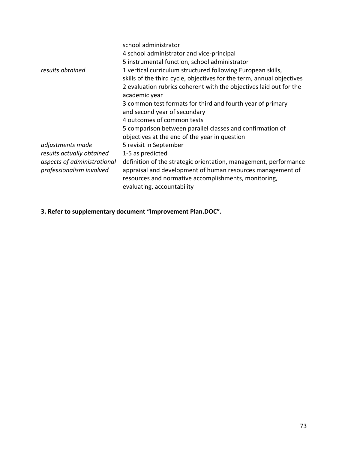|                             | school administrator                                                                                                                             |
|-----------------------------|--------------------------------------------------------------------------------------------------------------------------------------------------|
|                             | 4 school administrator and vice-principal                                                                                                        |
|                             | 5 instrumental function, school administrator                                                                                                    |
| results obtained            | 1 vertical curriculum structured following European skills,                                                                                      |
|                             | skills of the third cycle, objectives for the term, annual objectives                                                                            |
|                             | 2 evaluation rubrics coherent with the objectives laid out for the<br>academic year                                                              |
|                             | 3 common test formats for third and fourth year of primary                                                                                       |
|                             | and second year of secondary                                                                                                                     |
|                             | 4 outcomes of common tests                                                                                                                       |
|                             | 5 comparison between parallel classes and confirmation of                                                                                        |
|                             | objectives at the end of the year in question                                                                                                    |
| adjustments made            | 5 revisit in September                                                                                                                           |
| results actually obtained   | 1-5 as predicted                                                                                                                                 |
| aspects of administrational | definition of the strategic orientation, management, performance                                                                                 |
| professionalism involved    | appraisal and development of human resources management of<br>resources and normative accomplishments, monitoring,<br>evaluating, accountability |

**3. Refer to supplementary document "Improvement Plan.DOC".**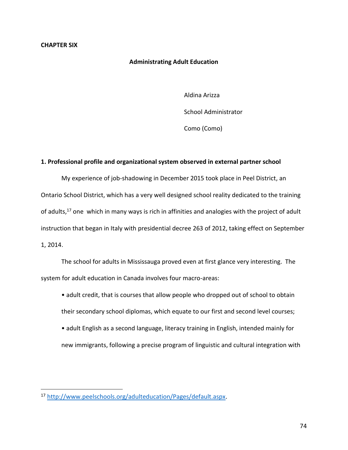## **CHAPTER SIX**

 $\overline{a}$ 

## **Administrating Adult Education**

Aldina Arizza

School Administrator

Como (Como)

#### **1. Professional profile and organizational system observed in external partner school**

My experience of job-shadowing in December 2015 took place in Peel District, an Ontario School District, which has a very well designed school reality dedicated to the training of adults,<sup>17</sup> one which in many ways is rich in affinities and analogies with the project of adult instruction that began in Italy with presidential decree 263 of 2012, taking effect on September 1, 2014.

The school for adults in Mississauga proved even at first glance very interesting. The system for adult education in Canada involves four macro-areas:

- adult credit, that is courses that allow people who dropped out of school to obtain their secondary school diplomas, which equate to our first and second level courses;
- adult English as a second language, literacy training in English, intended mainly for new immigrants, following a precise program of linguistic and cultural integration with

<sup>17</sup> [http://www.peelschools.org/adulteducation/Pages/default.aspx.](http://www.peelschools.org/adulteducation/Pages/default.aspx)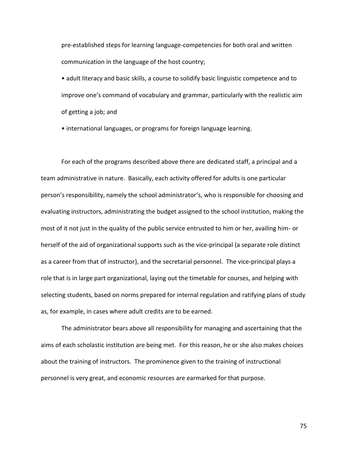pre-established steps for learning language-competencies for both oral and written communication in the language of the host country;

• adult literacy and basic skills, a course to solidify basic linguistic competence and to improve one's command of vocabulary and grammar, particularly with the realistic aim of getting a job; and

• international languages, or programs for foreign language learning.

For each of the programs described above there are dedicated staff, a principal and a team administrative in nature. Basically, each activity offered for adults is one particular person's responsibility, namely the school administrator's, who is responsible for choosing and evaluating instructors, administrating the budget assigned to the school institution, making the most of it not just in the quality of the public service entrusted to him or her, availing him- or herself of the aid of organizational supports such as the vice-principal (a separate role distinct as a career from that of instructor), and the secretarial personnel. The vice-principal plays a role that is in large part organizational, laying out the timetable for courses, and helping with selecting students, based on norms prepared for internal regulation and ratifying plans of study as, for example, in cases where adult credits are to be earned.

The administrator bears above all responsibility for managing and ascertaining that the aims of each scholastic institution are being met. For this reason, he or she also makes choices about the training of instructors. The prominence given to the training of instructional personnel is very great, and economic resources are earmarked for that purpose.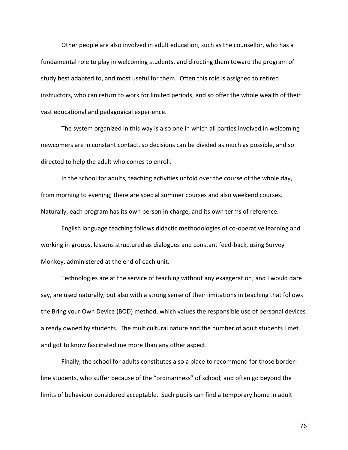Other people are also involved in adult education, such as the counsellor, who has a fundamental role to play in welcoming students, and directing them toward the program of study best adapted to, and most useful for them. Often this role is assigned to retired instructors, who can return to work for limited periods, and so offer the whole wealth of their vast educational and pedagogical experience.

The system organized in this way is also one in which all parties involved in welcoming newcomers are in constant contact, so decisions can be divided as much as possible, and so directed to help the adult who comes to enroll.

In the school for adults, teaching activities unfold over the course of the whole day, from morning to evening; there are special summer courses and also weekend courses. Naturally, each program has its own person in charge, and its own terms of reference.

English language teaching follows didactic methodologies of co-operative learning and working in groups, lessons structured as dialogues and constant feed-back, using Survey Monkey, administered at the end of each unit.

Technologies are at the service of teaching without any exaggeration, and I would dare say, are used naturally, but also with a strong sense of their limitations in teaching that follows the Bring your Own Device (BOD) method, which values the responsible use of personal devices already owned by students. The multicultural nature and the number of adult students I met and got to know fascinated me more than any other aspect.

Finally, the school for adults constitutes also a place to recommend for those borderline students, who suffer because of the "ordinariness" of school, and often go beyond the limits of behaviour considered acceptable. Such pupils can find a temporary home in adult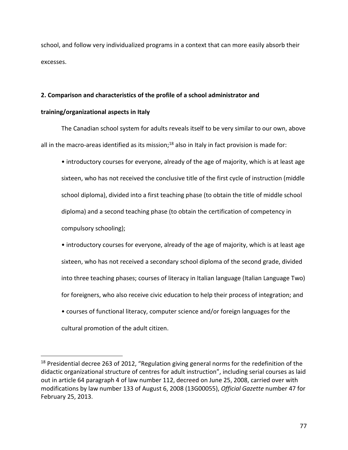school, and follow very individualized programs in a context that can more easily absorb their excesses.

# **2. Comparison and characteristics of the profile of a school administrator and**

# **training/organizational aspects in Italy**

The Canadian school system for adults reveals itself to be very similar to our own, above all in the macro-areas identified as its mission;<sup>18</sup> also in Italy in fact provision is made for:

• introductory courses for everyone, already of the age of majority, which is at least age sixteen, who has not received the conclusive title of the first cycle of instruction (middle school diploma), divided into a first teaching phase (to obtain the title of middle school diploma) and a second teaching phase (to obtain the certification of competency in compulsory schooling);

• introductory courses for everyone, already of the age of majority, which is at least age sixteen, who has not received a secondary school diploma of the second grade, divided into three teaching phases; courses of literacy in Italian language (Italian Language Two) for foreigners, who also receive civic education to help their process of integration; and • courses of functional literacy, computer science and/or foreign languages for the

cultural promotion of the adult citizen.

 $\overline{a}$ 

<sup>&</sup>lt;sup>18</sup> Presidential decree 263 of 2012, "Regulation giving general norms for the redefinition of the didactic organizational structure of centres for adult instruction", including serial courses as laid out in article 64 paragraph 4 of law number 112, decreed on June 25, 2008, carried over with modifications by law number 133 of August 6, 2008 (13G00055), *Official Gazette* number 47 for February 25, 2013.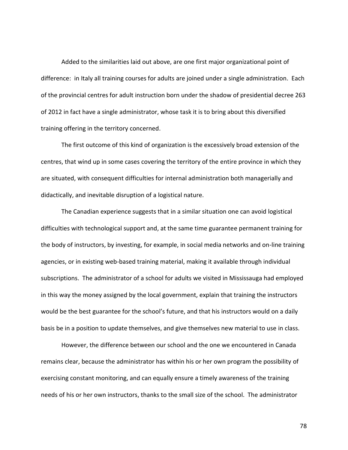Added to the similarities laid out above, are one first major organizational point of difference: in Italy all training courses for adults are joined under a single administration. Each of the provincial centres for adult instruction born under the shadow of presidential decree 263 of 2012 in fact have a single administrator, whose task it is to bring about this diversified training offering in the territory concerned.

The first outcome of this kind of organization is the excessively broad extension of the centres, that wind up in some cases covering the territory of the entire province in which they are situated, with consequent difficulties for internal administration both managerially and didactically, and inevitable disruption of a logistical nature.

The Canadian experience suggests that in a similar situation one can avoid logistical difficulties with technological support and, at the same time guarantee permanent training for the body of instructors, by investing, for example, in social media networks and on-line training agencies, or in existing web-based training material, making it available through individual subscriptions. The administrator of a school for adults we visited in Mississauga had employed in this way the money assigned by the local government, explain that training the instructors would be the best guarantee for the school's future, and that his instructors would on a daily basis be in a position to update themselves, and give themselves new material to use in class.

However, the difference between our school and the one we encountered in Canada remains clear, because the administrator has within his or her own program the possibility of exercising constant monitoring, and can equally ensure a timely awareness of the training needs of his or her own instructors, thanks to the small size of the school. The administrator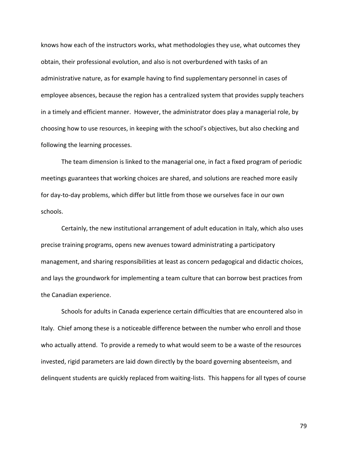knows how each of the instructors works, what methodologies they use, what outcomes they obtain, their professional evolution, and also is not overburdened with tasks of an administrative nature, as for example having to find supplementary personnel in cases of employee absences, because the region has a centralized system that provides supply teachers in a timely and efficient manner. However, the administrator does play a managerial role, by choosing how to use resources, in keeping with the school's objectives, but also checking and following the learning processes.

The team dimension is linked to the managerial one, in fact a fixed program of periodic meetings guarantees that working choices are shared, and solutions are reached more easily for day-to-day problems, which differ but little from those we ourselves face in our own schools.

Certainly, the new institutional arrangement of adult education in Italy, which also uses precise training programs, opens new avenues toward administrating a participatory management, and sharing responsibilities at least as concern pedagogical and didactic choices, and lays the groundwork for implementing a team culture that can borrow best practices from the Canadian experience.

Schools for adults in Canada experience certain difficulties that are encountered also in Italy. Chief among these is a noticeable difference between the number who enroll and those who actually attend. To provide a remedy to what would seem to be a waste of the resources invested, rigid parameters are laid down directly by the board governing absenteeism, and delinquent students are quickly replaced from waiting-lists. This happens for all types of course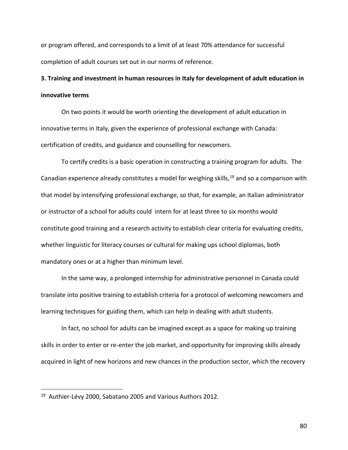or program offered, and corresponds to a limit of at least 70% attendance for successful completion of adult courses set out in our norms of reference.

# **3. Training and investment in human resources in Italy for development of adult education in innovative terms**

On two points it would be worth orienting the development of adult education in innovative terms in Italy, given the experience of professional exchange with Canada: certification of credits, and guidance and counselling for newcomers.

To certify credits is a basic operation in constructing a training program for adults. The Canadian experience already constitutes a model for weighing skills,<sup>19</sup> and so a comparison with that model by intensifying professional exchange, so that, for example, an Italian administrator or instructor of a school for adults could intern for at least three to six months would constitute good training and a research activity to establish clear criteria for evaluating credits, whether linguistic for literacy courses or cultural for making ups school diplomas, both mandatory ones or at a higher than minimum level.

In the same way, a prolonged internship for administrative personnel in Canada could translate into positive training to establish criteria for a protocol of welcoming newcomers and learning techniques for guiding them, which can help in dealing with adult students.

In fact, no school for adults can be imagined except as a space for making up training skills in order to enter or re-enter the job market, and opportunity for improving skills already acquired in light of new horizons and new chances in the production sector, which the recovery

 $\overline{a}$ 

<sup>&</sup>lt;sup>19</sup> Authier-Lévy 2000, Sabatano 2005 and Various Authors 2012.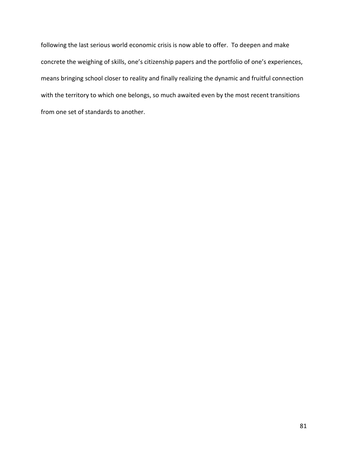following the last serious world economic crisis is now able to offer. To deepen and make concrete the weighing of skills, one's citizenship papers and the portfolio of one's experiences, means bringing school closer to reality and finally realizing the dynamic and fruitful connection with the territory to which one belongs, so much awaited even by the most recent transitions from one set of standards to another.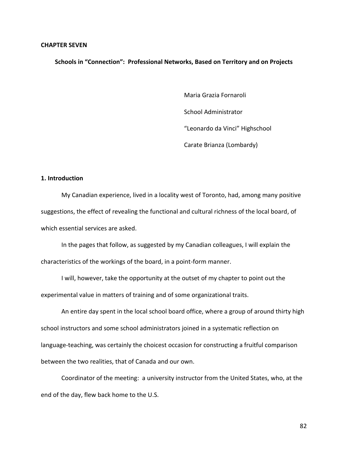#### **CHAPTER SEVEN**

**Schools in "Connection": Professional Networks, Based on Territory and on Projects**

Maria Grazia Fornaroli School Administrator "Leonardo da Vinci" Highschool Carate Brianza (Lombardy)

## **1. Introduction**

My Canadian experience, lived in a locality west of Toronto, had, among many positive suggestions, the effect of revealing the functional and cultural richness of the local board, of which essential services are asked.

In the pages that follow, as suggested by my Canadian colleagues, I will explain the characteristics of the workings of the board, in a point-form manner.

I will, however, take the opportunity at the outset of my chapter to point out the experimental value in matters of training and of some organizational traits.

An entire day spent in the local school board office, where a group of around thirty high school instructors and some school administrators joined in a systematic reflection on language-teaching, was certainly the choicest occasion for constructing a fruitful comparison between the two realities, that of Canada and our own.

Coordinator of the meeting: a university instructor from the United States, who, at the end of the day, flew back home to the U.S.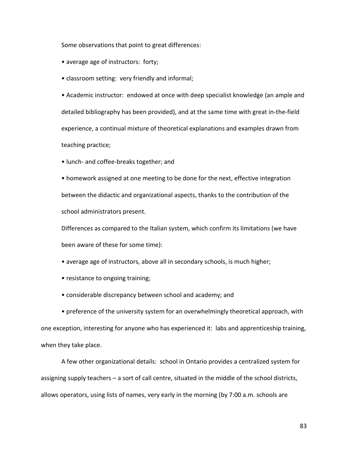Some observations that point to great differences:

- average age of instructors: forty;
- classroom setting: very friendly and informal;

• Academic instructor: endowed at once with deep specialist knowledge (an ample and detailed bibliography has been provided), and at the same time with great in-the-field experience, a continual mixture of theoretical explanations and examples drawn from teaching practice;

• lunch- and coffee-breaks together; and

• homework assigned at one meeting to be done for the next, effective integration between the didactic and organizational aspects, thanks to the contribution of the school administrators present.

Differences as compared to the Italian system, which confirm its limitations (we have been aware of these for some time):

• average age of instructors, above all in secondary schools, is much higher;

• resistance to ongoing training;

• considerable discrepancy between school and academy; and

• preference of the university system for an overwhelmingly theoretical approach, with one exception, interesting for anyone who has experienced it: labs and apprenticeship training, when they take place.

A few other organizational details: school in Ontario provides a centralized system for assigning supply teachers – a sort of call centre, situated in the middle of the school districts, allows operators, using lists of names, very early in the morning (by 7:00 a.m. schools are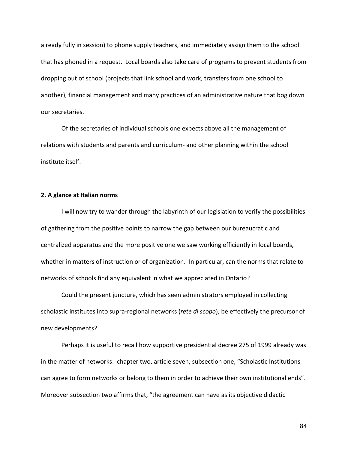already fully in session) to phone supply teachers, and immediately assign them to the school that has phoned in a request. Local boards also take care of programs to prevent students from dropping out of school (projects that link school and work, transfers from one school to another), financial management and many practices of an administrative nature that bog down our secretaries.

 Of the secretaries of individual schools one expects above all the management of relations with students and parents and curriculum- and other planning within the school institute itself.

## **2. A glance at Italian norms**

I will now try to wander through the labyrinth of our legislation to verify the possibilities of gathering from the positive points to narrow the gap between our bureaucratic and centralized apparatus and the more positive one we saw working efficiently in local boards, whether in matters of instruction or of organization. In particular, can the norms that relate to networks of schools find any equivalent in what we appreciated in Ontario?

Could the present juncture, which has seen administrators employed in collecting scholastic institutes into supra-regional networks (*rete di scopo*), be effectively the precursor of new developments?

Perhaps it is useful to recall how supportive presidential decree 275 of 1999 already was in the matter of networks: chapter two, article seven, subsection one, "Scholastic Institutions can agree to form networks or belong to them in order to achieve their own institutional ends". Moreover subsection two affirms that, "the agreement can have as its objective didactic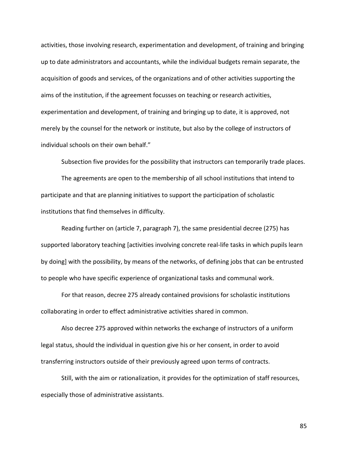activities, those involving research, experimentation and development, of training and bringing up to date administrators and accountants, while the individual budgets remain separate, the acquisition of goods and services, of the organizations and of other activities supporting the aims of the institution, if the agreement focusses on teaching or research activities, experimentation and development, of training and bringing up to date, it is approved, not merely by the counsel for the network or institute, but also by the college of instructors of individual schools on their own behalf."

Subsection five provides for the possibility that instructors can temporarily trade places.

The agreements are open to the membership of all school institutions that intend to participate and that are planning initiatives to support the participation of scholastic institutions that find themselves in difficulty.

Reading further on (article 7, paragraph 7), the same presidential decree (275) has supported laboratory teaching [activities involving concrete real-life tasks in which pupils learn by doing] with the possibility, by means of the networks, of defining jobs that can be entrusted to people who have specific experience of organizational tasks and communal work.

For that reason, decree 275 already contained provisions for scholastic institutions collaborating in order to effect administrative activities shared in common.

Also decree 275 approved within networks the exchange of instructors of a uniform legal status, should the individual in question give his or her consent, in order to avoid transferring instructors outside of their previously agreed upon terms of contracts.

Still, with the aim or rationalization, it provides for the optimization of staff resources, especially those of administrative assistants.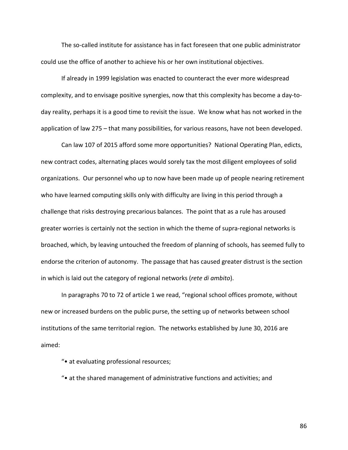The so-called institute for assistance has in fact foreseen that one public administrator could use the office of another to achieve his or her own institutional objectives.

If already in 1999 legislation was enacted to counteract the ever more widespread complexity, and to envisage positive synergies, now that this complexity has become a day-today reality, perhaps it is a good time to revisit the issue. We know what has not worked in the application of law 275 – that many possibilities, for various reasons, have not been developed.

Can law 107 of 2015 afford some more opportunities? National Operating Plan, edicts, new contract codes, alternating places would sorely tax the most diligent employees of solid organizations. Our personnel who up to now have been made up of people nearing retirement who have learned computing skills only with difficulty are living in this period through a challenge that risks destroying precarious balances. The point that as a rule has aroused greater worries is certainly not the section in which the theme of supra-regional networks is broached, which, by leaving untouched the freedom of planning of schools, has seemed fully to endorse the criterion of autonomy. The passage that has caused greater distrust is the section in which is laid out the category of regional networks (*rete di ambito*).

In paragraphs 70 to 72 of article 1 we read, "regional school offices promote, without new or increased burdens on the public purse, the setting up of networks between school institutions of the same territorial region. The networks established by June 30, 2016 are aimed:

"• at evaluating professional resources;

"• at the shared management of administrative functions and activities; and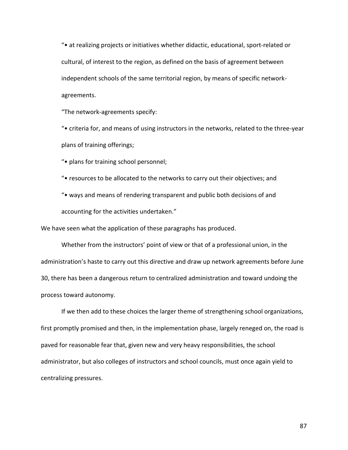"• at realizing projects or initiatives whether didactic, educational, sport-related or cultural, of interest to the region, as defined on the basis of agreement between independent schools of the same territorial region, by means of specific networkagreements.

"The network-agreements specify:

"• criteria for, and means of using instructors in the networks, related to the three-year plans of training offerings;

"• plans for training school personnel;

- "• resources to be allocated to the networks to carry out their objectives; and
- "• ways and means of rendering transparent and public both decisions of and accounting for the activities undertaken."

We have seen what the application of these paragraphs has produced.

Whether from the instructors' point of view or that of a professional union, in the administration's haste to carry out this directive and draw up network agreements before June 30, there has been a dangerous return to centralized administration and toward undoing the process toward autonomy.

If we then add to these choices the larger theme of strengthening school organizations, first promptly promised and then, in the implementation phase, largely reneged on, the road is paved for reasonable fear that, given new and very heavy responsibilities, the school administrator, but also colleges of instructors and school councils, must once again yield to centralizing pressures.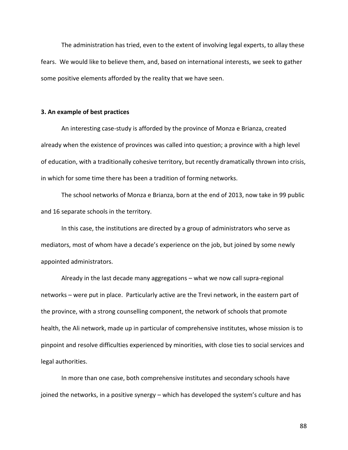The administration has tried, even to the extent of involving legal experts, to allay these fears. We would like to believe them, and, based on international interests, we seek to gather some positive elements afforded by the reality that we have seen.

## **3. An example of best practices**

An interesting case-study is afforded by the province of Monza e Brianza, created already when the existence of provinces was called into question; a province with a high level of education, with a traditionally cohesive territory, but recently dramatically thrown into crisis, in which for some time there has been a tradition of forming networks.

The school networks of Monza e Brianza, born at the end of 2013, now take in 99 public and 16 separate schools in the territory.

In this case, the institutions are directed by a group of administrators who serve as mediators, most of whom have a decade's experience on the job, but joined by some newly appointed administrators.

Already in the last decade many aggregations – what we now call supra-regional networks – were put in place. Particularly active are the Trevi network, in the eastern part of the province, with a strong counselling component, the network of schools that promote health, the Ali network, made up in particular of comprehensive institutes, whose mission is to pinpoint and resolve difficulties experienced by minorities, with close ties to social services and legal authorities.

In more than one case, both comprehensive institutes and secondary schools have joined the networks, in a positive synergy – which has developed the system's culture and has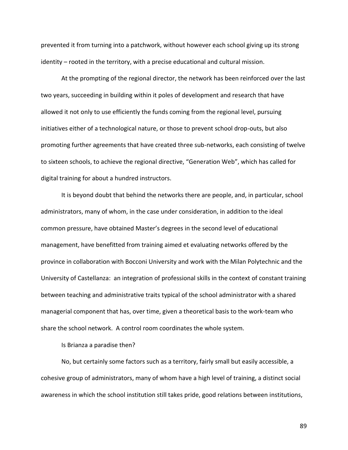prevented it from turning into a patchwork, without however each school giving up its strong identity – rooted in the territory, with a precise educational and cultural mission.

At the prompting of the regional director, the network has been reinforced over the last two years, succeeding in building within it poles of development and research that have allowed it not only to use efficiently the funds coming from the regional level, pursuing initiatives either of a technological nature, or those to prevent school drop-outs, but also promoting further agreements that have created three sub-networks, each consisting of twelve to sixteen schools, to achieve the regional directive, "Generation Web", which has called for digital training for about a hundred instructors.

It is beyond doubt that behind the networks there are people, and, in particular, school administrators, many of whom, in the case under consideration, in addition to the ideal common pressure, have obtained Master's degrees in the second level of educational management, have benefitted from training aimed et evaluating networks offered by the province in collaboration with Bocconi University and work with the Milan Polytechnic and the University of Castellanza: an integration of professional skills in the context of constant training between teaching and administrative traits typical of the school administrator with a shared managerial component that has, over time, given a theoretical basis to the work-team who share the school network. A control room coordinates the whole system.

Is Brianza a paradise then?

No, but certainly some factors such as a territory, fairly small but easily accessible, a cohesive group of administrators, many of whom have a high level of training, a distinct social awareness in which the school institution still takes pride, good relations between institutions,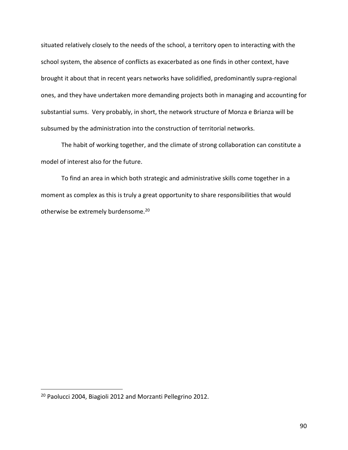situated relatively closely to the needs of the school, a territory open to interacting with the school system, the absence of conflicts as exacerbated as one finds in other context, have brought it about that in recent years networks have solidified, predominantly supra-regional ones, and they have undertaken more demanding projects both in managing and accounting for substantial sums. Very probably, in short, the network structure of Monza e Brianza will be subsumed by the administration into the construction of territorial networks.

The habit of working together, and the climate of strong collaboration can constitute a model of interest also for the future.

To find an area in which both strategic and administrative skills come together in a moment as complex as this is truly a great opportunity to share responsibilities that would otherwise be extremely burdensome.<sup>20</sup>

 $\overline{a}$ 

<sup>&</sup>lt;sup>20</sup> Paolucci 2004, Biagioli 2012 and Morzanti Pellegrino 2012.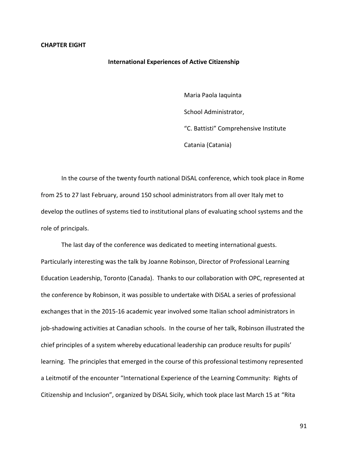#### **International Experiences of Active Citizenship**

Maria Paola Iaquinta

School Administrator,

"C. Battisti" Comprehensive Institute

Catania (Catania)

In the course of the twenty fourth national DiSAL conference, which took place in Rome from 25 to 27 last February, around 150 school administrators from all over Italy met to develop the outlines of systems tied to institutional plans of evaluating school systems and the role of principals.

The last day of the conference was dedicated to meeting international guests. Particularly interesting was the talk by Joanne Robinson, Director of Professional Learning Education Leadership, Toronto (Canada). Thanks to our collaboration with OPC, represented at the conference by Robinson, it was possible to undertake with DiSAL a series of professional exchanges that in the 2015-16 academic year involved some Italian school administrators in job-shadowing activities at Canadian schools. In the course of her talk, Robinson illustrated the chief principles of a system whereby educational leadership can produce results for pupils' learning. The principles that emerged in the course of this professional testimony represented a Leitmotif of the encounter "International Experience of the Learning Community: Rights of Citizenship and Inclusion", organized by DiSAL Sicily, which took place last March 15 at "Rita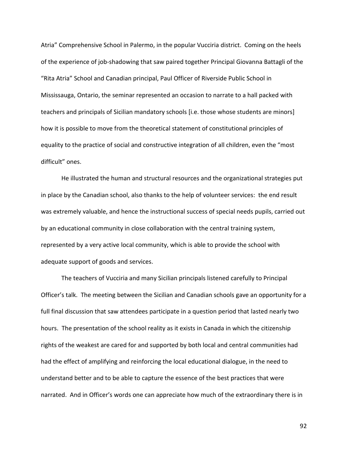Atria" Comprehensive School in Palermo, in the popular Vucciria district. Coming on the heels of the experience of job-shadowing that saw paired together Principal Giovanna Battagli of the "Rita Atria" School and Canadian principal, Paul Officer of Riverside Public School in Mississauga, Ontario, the seminar represented an occasion to narrate to a hall packed with teachers and principals of Sicilian mandatory schools [i.e. those whose students are minors] how it is possible to move from the theoretical statement of constitutional principles of equality to the practice of social and constructive integration of all children, even the "most difficult" ones.

He illustrated the human and structural resources and the organizational strategies put in place by the Canadian school, also thanks to the help of volunteer services: the end result was extremely valuable, and hence the instructional success of special needs pupils, carried out by an educational community in close collaboration with the central training system, represented by a very active local community, which is able to provide the school with adequate support of goods and services.

The teachers of Vucciria and many Sicilian principals listened carefully to Principal Officer's talk. The meeting between the Sicilian and Canadian schools gave an opportunity for a full final discussion that saw attendees participate in a question period that lasted nearly two hours. The presentation of the school reality as it exists in Canada in which the citizenship rights of the weakest are cared for and supported by both local and central communities had had the effect of amplifying and reinforcing the local educational dialogue, in the need to understand better and to be able to capture the essence of the best practices that were narrated. And in Officer's words one can appreciate how much of the extraordinary there is in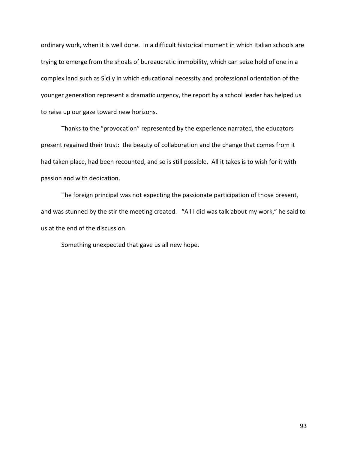ordinary work, when it is well done. In a difficult historical moment in which Italian schools are trying to emerge from the shoals of bureaucratic immobility, which can seize hold of one in a complex land such as Sicily in which educational necessity and professional orientation of the younger generation represent a dramatic urgency, the report by a school leader has helped us to raise up our gaze toward new horizons.

Thanks to the "provocation" represented by the experience narrated, the educators present regained their trust: the beauty of collaboration and the change that comes from it had taken place, had been recounted, and so is still possible. All it takes is to wish for it with passion and with dedication.

The foreign principal was not expecting the passionate participation of those present, and was stunned by the stir the meeting created. "All I did was talk about my work," he said to us at the end of the discussion.

Something unexpected that gave us all new hope.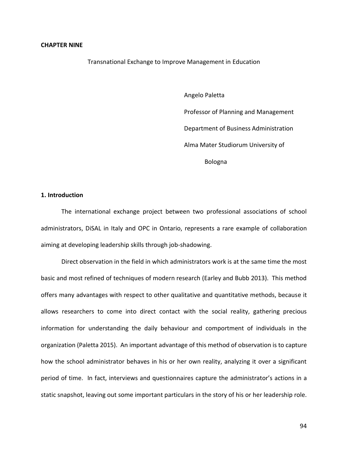#### **CHAPTER NINE**

Transnational Exchange to Improve Management in Education

Angelo Paletta Professor of Planning and Management Department of Business Administration Alma Mater Studiorum University of Bologna

## **1. Introduction**

The international exchange project between two professional associations of school administrators, DiSAL in Italy and OPC in Ontario, represents a rare example of collaboration aiming at developing leadership skills through job-shadowing.

Direct observation in the field in which administrators work is at the same time the most basic and most refined of techniques of modern research (Earley and Bubb 2013). This method offers many advantages with respect to other qualitative and quantitative methods, because it allows researchers to come into direct contact with the social reality, gathering precious information for understanding the daily behaviour and comportment of individuals in the organization (Paletta 2015). An important advantage of this method of observation is to capture how the school administrator behaves in his or her own reality, analyzing it over a significant period of time. In fact, interviews and questionnaires capture the administrator's actions in a static snapshot, leaving out some important particulars in the story of his or her leadership role.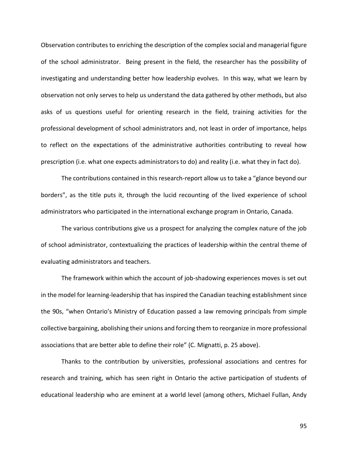Observation contributes to enriching the description of the complex social and managerial figure of the school administrator. Being present in the field, the researcher has the possibility of investigating and understanding better how leadership evolves. In this way, what we learn by observation not only serves to help us understand the data gathered by other methods, but also asks of us questions useful for orienting research in the field, training activities for the professional development of school administrators and, not least in order of importance, helps to reflect on the expectations of the administrative authorities contributing to reveal how prescription (i.e. what one expects administrators to do) and reality (i.e. what they in fact do).

The contributions contained in this research-report allow us to take a "glance beyond our borders", as the title puts it, through the lucid recounting of the lived experience of school administrators who participated in the international exchange program in Ontario, Canada.

The various contributions give us a prospect for analyzing the complex nature of the job of school administrator, contextualizing the practices of leadership within the central theme of evaluating administrators and teachers.

The framework within which the account of job-shadowing experiences moves is set out in the model for learning-leadership that has inspired the Canadian teaching establishment since the 90s, "when Ontario's Ministry of Education passed a law removing principals from simple collective bargaining, abolishing their unions and forcing them to reorganize in more professional associations that are better able to define their role" (C. Mignatti, p. 25 above).

Thanks to the contribution by universities, professional associations and centres for research and training, which has seen right in Ontario the active participation of students of educational leadership who are eminent at a world level (among others, Michael Fullan, Andy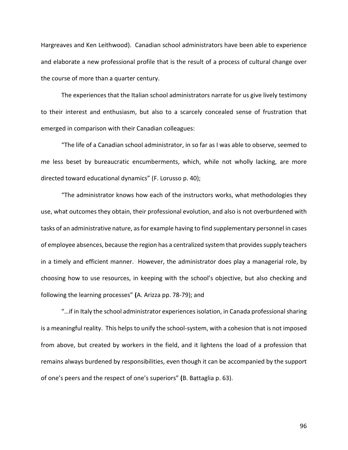Hargreaves and Ken Leithwood). Canadian school administrators have been able to experience and elaborate a new professional profile that is the result of a process of cultural change over the course of more than a quarter century.

The experiences that the Italian school administrators narrate for us give lively testimony to their interest and enthusiasm, but also to a scarcely concealed sense of frustration that emerged in comparison with their Canadian colleagues:

"The life of a Canadian school administrator, in so far as I was able to observe, seemed to me less beset by bureaucratic encumberments, which, while not wholly lacking, are more directed toward educational dynamics" (F. Lorusso p. 40);

"The administrator knows how each of the instructors works, what methodologies they use, what outcomes they obtain, their professional evolution, and also is not overburdened with tasks of an administrative nature, as for example having to find supplementary personnel in cases of employee absences, because the region has a centralized system that provides supply teachers in a timely and efficient manner. However, the administrator does play a managerial role, by choosing how to use resources, in keeping with the school's objective, but also checking and following the learning processes" **(**A. Arizza pp. 78-79); and

"…if in Italy the school administrator experiences isolation, in Canada professional sharing is a meaningful reality. This helps to unify the school-system, with a cohesion that is not imposed from above, but created by workers in the field, and it lightens the load of a profession that remains always burdened by responsibilities, even though it can be accompanied by the support of one's peers and the respect of one's superiors" **(**B. Battaglia p. 63).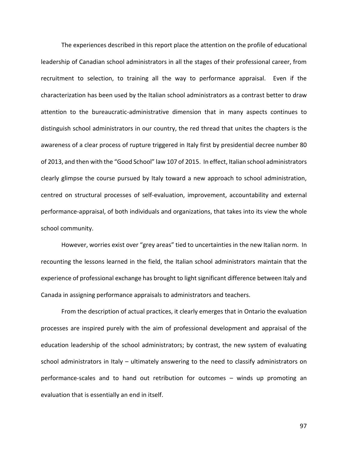The experiences described in this report place the attention on the profile of educational leadership of Canadian school administrators in all the stages of their professional career, from recruitment to selection, to training all the way to performance appraisal. Even if the characterization has been used by the Italian school administrators as a contrast better to draw attention to the bureaucratic-administrative dimension that in many aspects continues to distinguish school administrators in our country, the red thread that unites the chapters is the awareness of a clear process of rupture triggered in Italy first by presidential decree number 80 of 2013, and then with the "Good School" law 107 of 2015. In effect, Italian school administrators clearly glimpse the course pursued by Italy toward a new approach to school administration, centred on structural processes of self-evaluation, improvement, accountability and external performance-appraisal, of both individuals and organizations, that takes into its view the whole school community.

However, worries exist over "grey areas" tied to uncertainties in the new Italian norm. In recounting the lessons learned in the field, the Italian school administrators maintain that the experience of professional exchange has brought to light significant difference between Italy and Canada in assigning performance appraisals to administrators and teachers.

From the description of actual practices, it clearly emerges that in Ontario the evaluation processes are inspired purely with the aim of professional development and appraisal of the education leadership of the school administrators; by contrast, the new system of evaluating school administrators in Italy – ultimately answering to the need to classify administrators on performance-scales and to hand out retribution for outcomes – winds up promoting an evaluation that is essentially an end in itself.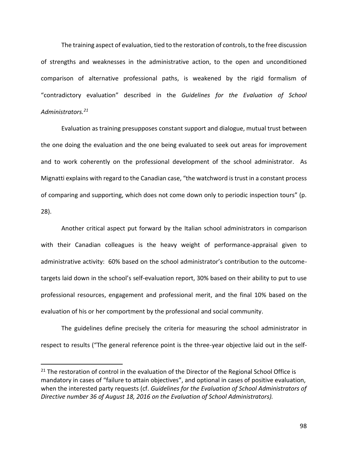The training aspect of evaluation, tied to the restoration of controls, to the free discussion of strengths and weaknesses in the administrative action, to the open and unconditioned comparison of alternative professional paths, is weakened by the rigid formalism of "contradictory evaluation" described in the *Guidelines for the Evaluation of School Administrators.<sup>21</sup>*

Evaluation as training presupposes constant support and dialogue, mutual trust between the one doing the evaluation and the one being evaluated to seek out areas for improvement and to work coherently on the professional development of the school administrator. As Mignatti explains with regard to the Canadian case, "the watchword is trust in a constant process of comparing and supporting, which does not come down only to periodic inspection tours" (p. 28).

Another critical aspect put forward by the Italian school administrators in comparison with their Canadian colleagues is the heavy weight of performance-appraisal given to administrative activity: 60% based on the school administrator's contribution to the outcometargets laid down in the school's self-evaluation report, 30% based on their ability to put to use professional resources, engagement and professional merit, and the final 10% based on the evaluation of his or her comportment by the professional and social community.

The guidelines define precisely the criteria for measuring the school administrator in respect to results ("The general reference point is the three-year objective laid out in the self-

 $\overline{a}$ 

<sup>&</sup>lt;sup>21</sup> The restoration of control in the evaluation of the Director of the Regional School Office is mandatory in cases of "failure to attain objectives", and optional in cases of positive evaluation, when the interested party requests (cf. *Guidelines for the Evaluation of School Administrators of Directive number 36 of August 18, 2016 on the Evaluation of School Administrators).*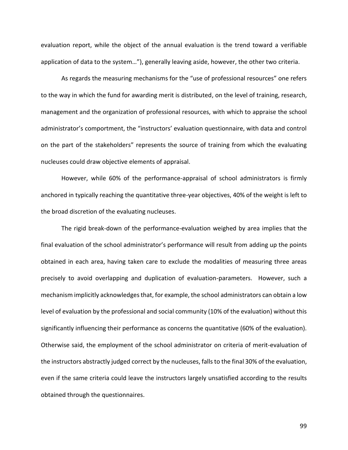evaluation report, while the object of the annual evaluation is the trend toward a verifiable application of data to the system…"), generally leaving aside, however, the other two criteria.

As regards the measuring mechanisms for the "use of professional resources" one refers to the way in which the fund for awarding merit is distributed, on the level of training, research, management and the organization of professional resources, with which to appraise the school administrator's comportment, the "instructors' evaluation questionnaire, with data and control on the part of the stakeholders" represents the source of training from which the evaluating nucleuses could draw objective elements of appraisal.

However, while 60% of the performance-appraisal of school administrators is firmly anchored in typically reaching the quantitative three-year objectives, 40% of the weight is left to the broad discretion of the evaluating nucleuses.

The rigid break-down of the performance-evaluation weighed by area implies that the final evaluation of the school administrator's performance will result from adding up the points obtained in each area, having taken care to exclude the modalities of measuring three areas precisely to avoid overlapping and duplication of evaluation-parameters. However, such a mechanism implicitly acknowledges that, for example, the school administrators can obtain a low level of evaluation by the professional and social community (10% of the evaluation) without this significantly influencing their performance as concerns the quantitative (60% of the evaluation). Otherwise said, the employment of the school administrator on criteria of merit-evaluation of the instructors abstractly judged correct by the nucleuses, falls to the final 30% of the evaluation, even if the same criteria could leave the instructors largely unsatisfied according to the results obtained through the questionnaires.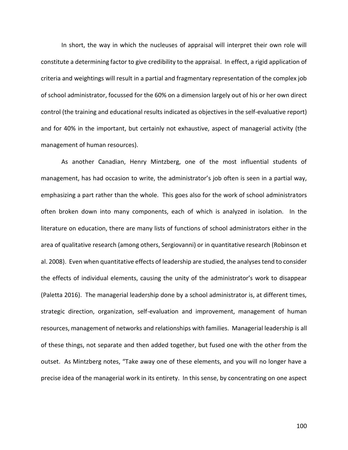In short, the way in which the nucleuses of appraisal will interpret their own role will constitute a determining factor to give credibility to the appraisal. In effect, a rigid application of criteria and weightings will result in a partial and fragmentary representation of the complex job of school administrator, focussed for the 60% on a dimension largely out of his or her own direct control (the training and educational results indicated as objectives in the self-evaluative report) and for 40% in the important, but certainly not exhaustive, aspect of managerial activity (the management of human resources).

As another Canadian, Henry Mintzberg, one of the most influential students of management, has had occasion to write, the administrator's job often is seen in a partial way, emphasizing a part rather than the whole. This goes also for the work of school administrators often broken down into many components, each of which is analyzed in isolation. In the literature on education, there are many lists of functions of school administrators either in the area of qualitative research (among others, Sergiovanni) or in quantitative research (Robinson et al. 2008). Even when quantitative effects of leadership are studied, the analyses tend to consider the effects of individual elements, causing the unity of the administrator's work to disappear (Paletta 2016). The managerial leadership done by a school administrator is, at different times, strategic direction, organization, self-evaluation and improvement, management of human resources, management of networks and relationships with families. Managerial leadership is all of these things, not separate and then added together, but fused one with the other from the outset. As Mintzberg notes, "Take away one of these elements, and you will no longer have a precise idea of the managerial work in its entirety. In this sense, by concentrating on one aspect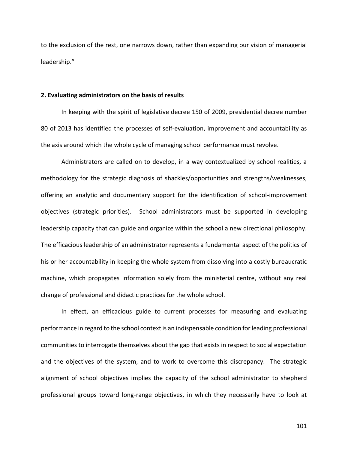to the exclusion of the rest, one narrows down, rather than expanding our vision of managerial leadership."

## **2. Evaluating administrators on the basis of results**

In keeping with the spirit of legislative decree 150 of 2009, presidential decree number 80 of 2013 has identified the processes of self-evaluation, improvement and accountability as the axis around which the whole cycle of managing school performance must revolve.

Administrators are called on to develop, in a way contextualized by school realities, a methodology for the strategic diagnosis of shackles/opportunities and strengths/weaknesses, offering an analytic and documentary support for the identification of school-improvement objectives (strategic priorities). School administrators must be supported in developing leadership capacity that can guide and organize within the school a new directional philosophy. The efficacious leadership of an administrator represents a fundamental aspect of the politics of his or her accountability in keeping the whole system from dissolving into a costly bureaucratic machine, which propagates information solely from the ministerial centre, without any real change of professional and didactic practices for the whole school.

In effect, an efficacious guide to current processes for measuring and evaluating performance in regard to the school context is an indispensable condition for leading professional communities to interrogate themselves about the gap that exists in respect to social expectation and the objectives of the system, and to work to overcome this discrepancy. The strategic alignment of school objectives implies the capacity of the school administrator to shepherd professional groups toward long-range objectives, in which they necessarily have to look at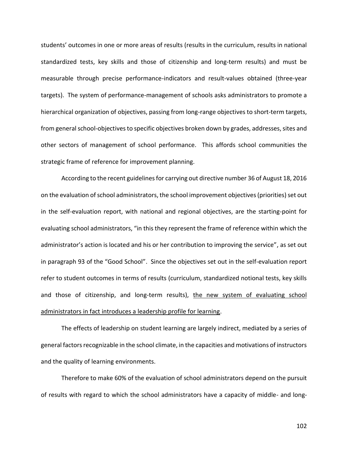students' outcomes in one or more areas of results (results in the curriculum, results in national standardized tests, key skills and those of citizenship and long-term results) and must be measurable through precise performance-indicators and result-values obtained (three-year targets). The system of performance-management of schools asks administrators to promote a hierarchical organization of objectives, passing from long-range objectives to short-term targets, from general school-objectives to specific objectives broken down by grades, addresses, sites and other sectors of management of school performance. This affords school communities the strategic frame of reference for improvement planning.

According to the recent guidelines for carrying out directive number 36 of August 18, 2016 on the evaluation of school administrators, the school improvement objectives (priorities) set out in the self-evaluation report, with national and regional objectives, are the starting-point for evaluating school administrators, "in this they represent the frame of reference within which the administrator's action is located and his or her contribution to improving the service", as set out in paragraph 93 of the "Good School". Since the objectives set out in the self-evaluation report refer to student outcomes in terms of results (curriculum, standardized notional tests, key skills and those of citizenship, and long-term results), the new system of evaluating school administrators in fact introduces a leadership profile for learning.

The effects of leadership on student learning are largely indirect, mediated by a series of general factors recognizable in the school climate, in the capacities and motivations of instructors and the quality of learning environments.

Therefore to make 60% of the evaluation of school administrators depend on the pursuit of results with regard to which the school administrators have a capacity of middle- and long-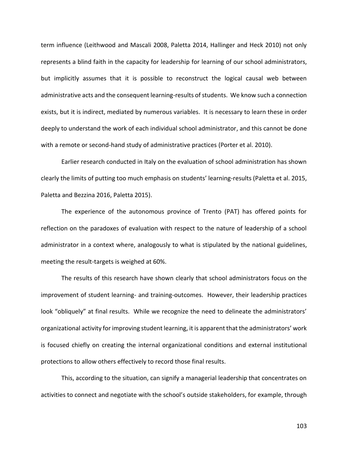term influence (Leithwood and Mascali 2008, Paletta 2014, Hallinger and Heck 2010) not only represents a blind faith in the capacity for leadership for learning of our school administrators, but implicitly assumes that it is possible to reconstruct the logical causal web between administrative acts and the consequent learning-results of students. We know such a connection exists, but it is indirect, mediated by numerous variables. It is necessary to learn these in order deeply to understand the work of each individual school administrator, and this cannot be done with a remote or second-hand study of administrative practices (Porter et al. 2010).

Earlier research conducted in Italy on the evaluation of school administration has shown clearly the limits of putting too much emphasis on students' learning-results (Paletta et al. 2015, Paletta and Bezzina 2016, Paletta 2015).

The experience of the autonomous province of Trento (PAT) has offered points for reflection on the paradoxes of evaluation with respect to the nature of leadership of a school administrator in a context where, analogously to what is stipulated by the national guidelines, meeting the result-targets is weighed at 60%.

The results of this research have shown clearly that school administrators focus on the improvement of student learning- and training-outcomes. However, their leadership practices look "obliquely" at final results. While we recognize the need to delineate the administrators' organizational activity for improving student learning, it is apparent that the administrators' work is focused chiefly on creating the internal organizational conditions and external institutional protections to allow others effectively to record those final results.

This, according to the situation, can signify a managerial leadership that concentrates on activities to connect and negotiate with the school's outside stakeholders, for example, through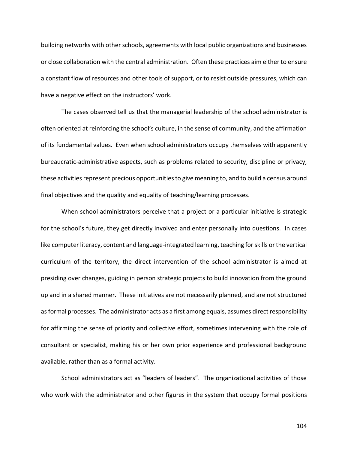building networks with other schools, agreements with local public organizations and businesses or close collaboration with the central administration. Often these practices aim either to ensure a constant flow of resources and other tools of support, or to resist outside pressures, which can have a negative effect on the instructors' work.

The cases observed tell us that the managerial leadership of the school administrator is often oriented at reinforcing the school's culture, in the sense of community, and the affirmation of its fundamental values. Even when school administrators occupy themselves with apparently bureaucratic-administrative aspects, such as problems related to security, discipline or privacy, these activities represent precious opportunities to give meaning to, and to build a census around final objectives and the quality and equality of teaching/learning processes.

When school administrators perceive that a project or a particular initiative is strategic for the school's future, they get directly involved and enter personally into questions. In cases like computer literacy, content and language-integrated learning, teaching for skills or the vertical curriculum of the territory, the direct intervention of the school administrator is aimed at presiding over changes, guiding in person strategic projects to build innovation from the ground up and in a shared manner. These initiatives are not necessarily planned, and are not structured as formal processes. The administrator acts as a first among equals, assumes direct responsibility for affirming the sense of priority and collective effort, sometimes intervening with the role of consultant or specialist, making his or her own prior experience and professional background available, rather than as a formal activity.

School administrators act as "leaders of leaders". The organizational activities of those who work with the administrator and other figures in the system that occupy formal positions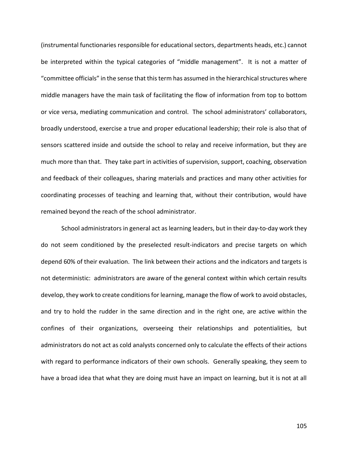(instrumental functionaries responsible for educational sectors, departments heads, etc.) cannot be interpreted within the typical categories of "middle management". It is not a matter of "committee officials" in the sense that this term has assumed in the hierarchical structures where middle managers have the main task of facilitating the flow of information from top to bottom or vice versa, mediating communication and control. The school administrators' collaborators, broadly understood, exercise a true and proper educational leadership; their role is also that of sensors scattered inside and outside the school to relay and receive information, but they are much more than that. They take part in activities of supervision, support, coaching, observation and feedback of their colleagues, sharing materials and practices and many other activities for coordinating processes of teaching and learning that, without their contribution, would have remained beyond the reach of the school administrator.

School administrators in general act as learning leaders, but in their day-to-day work they do not seem conditioned by the preselected result-indicators and precise targets on which depend 60% of their evaluation. The link between their actions and the indicators and targets is not deterministic: administrators are aware of the general context within which certain results develop, they work to create conditions for learning, manage the flow of work to avoid obstacles, and try to hold the rudder in the same direction and in the right one, are active within the confines of their organizations, overseeing their relationships and potentialities, but administrators do not act as cold analysts concerned only to calculate the effects of their actions with regard to performance indicators of their own schools. Generally speaking, they seem to have a broad idea that what they are doing must have an impact on learning, but it is not at all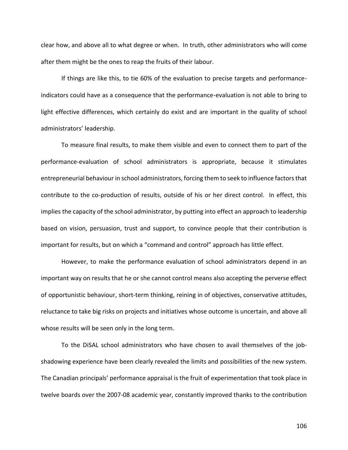clear how, and above all to what degree or when. In truth, other administrators who will come after them might be the ones to reap the fruits of their labour.

If things are like this, to tie 60% of the evaluation to precise targets and performanceindicators could have as a consequence that the performance-evaluation is not able to bring to light effective differences, which certainly do exist and are important in the quality of school administrators' leadership.

To measure final results, to make them visible and even to connect them to part of the performance-evaluation of school administrators is appropriate, because it stimulates entrepreneurial behaviour in school administrators, forcing them to seek to influence factors that contribute to the co-production of results, outside of his or her direct control. In effect, this implies the capacity of the school administrator, by putting into effect an approach to leadership based on vision, persuasion, trust and support, to convince people that their contribution is important for results, but on which a "command and control" approach has little effect.

However, to make the performance evaluation of school administrators depend in an important way on results that he or she cannot control means also accepting the perverse effect of opportunistic behaviour, short-term thinking, reining in of objectives, conservative attitudes, reluctance to take big risks on projects and initiatives whose outcome is uncertain, and above all whose results will be seen only in the long term.

To the DiSAL school administrators who have chosen to avail themselves of the jobshadowing experience have been clearly revealed the limits and possibilities of the new system. The Canadian principals' performance appraisal is the fruit of experimentation that took place in twelve boards over the 2007-08 academic year, constantly improved thanks to the contribution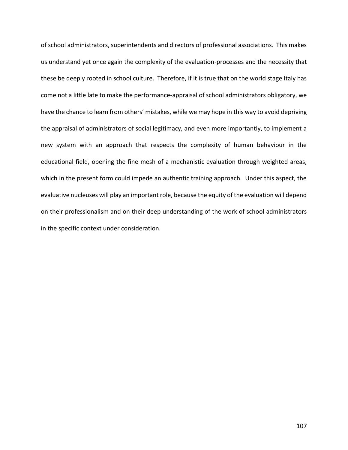of school administrators, superintendents and directors of professional associations. This makes us understand yet once again the complexity of the evaluation-processes and the necessity that these be deeply rooted in school culture. Therefore, if it is true that on the world stage Italy has come not a little late to make the performance-appraisal of school administrators obligatory, we have the chance to learn from others' mistakes, while we may hope in this way to avoid depriving the appraisal of administrators of social legitimacy, and even more importantly, to implement a new system with an approach that respects the complexity of human behaviour in the educational field, opening the fine mesh of a mechanistic evaluation through weighted areas, which in the present form could impede an authentic training approach. Under this aspect, the evaluative nucleuses will play an important role, because the equity of the evaluation will depend on their professionalism and on their deep understanding of the work of school administrators in the specific context under consideration.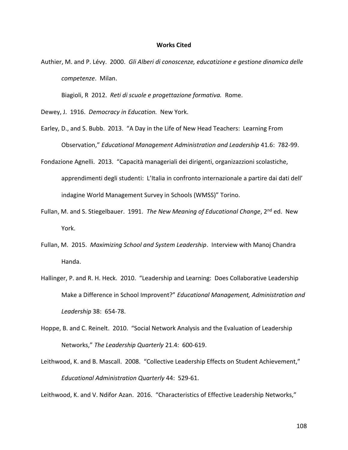#### **Works Cited**

Authier, M. and P. Lévy. 2000. *Gli Alberi di conoscenze, educatizione e gestione dinamica delle competenze*. Milan.

Biagioli, R 2012. *Reti di scuole e progettazione formativa.* Rome.

- Dewey, J. 1916. *Democracy in Education.* New York.
- Earley, D., and S. Bubb. 2013. "A Day in the Life of New Head Teachers: Learning From Observation," *Educational Management Administration and Leadership* 41.6: 782-99.
- Fondazione Agnelli. 2013. "Capacità manageriali dei dirigenti, organizazzioni scolastiche, apprendimenti degli studenti: L'Italia in confronto internazionale a partire dai dati dell' indagine World Management Survey in Schools (WMSS)" Torino.
- Fullan, M. and S. Stiegelbauer. 1991. *The New Meaning of Educational Change*, 2nd ed. New York.
- Fullan, M. 2015. *Maximizing School and System Leadership*. Interview with Manoj Chandra Handa.
- Hallinger, P. and R. H. Heck. 2010. "Leadership and Learning: Does Collaborative Leadership Make a Difference in School Improvent?" *Educational Management, Administration and Leadership* 38: 654-78.
- Hoppe, B. and C. Reinelt. 2010. "Social Network Analysis and the Evaluation of Leadership Networks," *The Leadership Quarterly* 21.4: 600-619.
- Leithwood, K. and B. Mascall. 2008. "Collective Leadership Effects on Student Achievement," *Educational Administration Quarterly* 44: 529-61.

Leithwood, K. and V. Ndifor Azan. 2016. "Characteristics of Effective Leadership Networks,"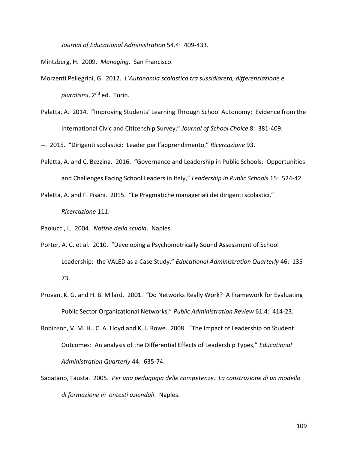*Journal of Educational Administration* 54.4: 409-433.

Mintzberg, H. 2009. *Managing.* San Francisco.

- Morzenti Pellegrini, G. 2012. *L'Autonomia scolastica tra sussidiaretà, differenziazione e pluralismi*, 2nd ed. Turin.
- Paletta, A. 2014. "Improving Students' Learning Through School Autonomy: Evidence from the International Civic and Citizenship Survey," *Journal of School Choice* 8: 381-409.

--. 2015. "Dirigenti scolastici: Leader per l'apprendimento," *Ricercazione* 93.

- Paletta, A. and C. Bezzina. 2016. "Governance and Leadership in Public Schools: Opportunities and Challenges Facing School Leaders in Italy," *Leadership in Public Schools* 15: 524-42.
- Paletta, A. and F. Pisani. 2015. "Le Pragmatiche manageriali dei dirigenti scolastici," *Ricercazione* 111.

Paolucci, L. 2004. *Notizie della scuola*. Naples.

- Porter, A. C. et al. 2010. "Developing a Psychometrically Sound Assessment of School Leadership: the VALED as a Case Study," *Educational Administration Quarterly* 46: 135 73.
- Provan, K. G. and H. B. Milard. 2001. "Do Networks Really Work? A Framework for Evaluating Public Sector Organizational Networks," *Public Administration Review* 61.4: 414-23.
- Robinson, V. M. H., C. A. Lloyd and K. J. Rowe. 2008. "The Impact of Leadership on Student Outcomes: An analysis of the Differential Effects of Leadership Types," *Educational Administration Quarterly* 44: 635-74.
- Sabatano, Fausta. 2005. *Per una pedagogia delle competenze. La construzione di un modello di formazione in ontesti aziendali*. Naples.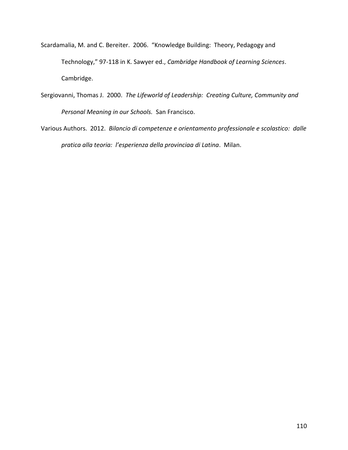- Scardamalia, M. and C. Bereiter. 2006. "Knowledge Building: Theory, Pedagogy and Technology," 97-118 in K. Sawyer ed., *Cambridge Handbook of Learning Sciences*. Cambridge.
- Sergiovanni, Thomas J. 2000. *The Lifeworld of Leadership: Creating Culture, Community and Personal Meaning in our Schools.* San Francisco.
- Various Authors. 2012. *Bilancio di competenze e orientamento professionale e scolastico: dalle pratica alla teoria: l'esperienza della provinciaa di Latina*. Milan.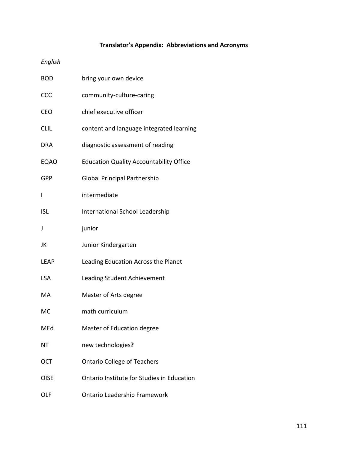## **Translator's Appendix: Abbreviations and Acronyms**

## *English*

| <b>BOD</b>  | bring your own device                          |
|-------------|------------------------------------------------|
| CCC         | community-culture-caring                       |
| <b>CEO</b>  | chief executive officer                        |
| <b>CLIL</b> | content and language integrated learning       |
| <b>DRA</b>  | diagnostic assessment of reading               |
| <b>EQAO</b> | <b>Education Quality Accountability Office</b> |
| <b>GPP</b>  | <b>Global Principal Partnership</b>            |
| I           | intermediate                                   |
| <b>ISL</b>  | International School Leadership                |
| J           | junior                                         |
| JK          | Junior Kindergarten                            |
| <b>LEAP</b> | Leading Education Across the Planet            |
| <b>LSA</b>  | Leading Student Achievement                    |
| MA          | Master of Arts degree                          |
| MC          | math curriculum                                |
| MEd         | Master of Education degree                     |
| ΝT          | new technologies?                              |
| <b>OCT</b>  | <b>Ontario College of Teachers</b>             |
| <b>OISE</b> | Ontario Institute for Studies in Education     |
| OLF         | <b>Ontario Leadership Framework</b>            |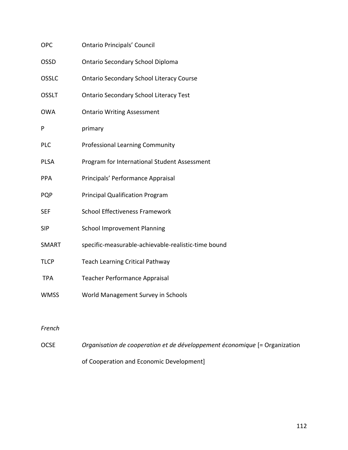| <b>OPC</b>   | <b>Ontario Principals' Council</b>                  |
|--------------|-----------------------------------------------------|
| <b>OSSD</b>  | Ontario Secondary School Diploma                    |
| <b>OSSLC</b> | <b>Ontario Secondary School Literacy Course</b>     |
| <b>OSSLT</b> | <b>Ontario Secondary School Literacy Test</b>       |
| <b>OWA</b>   | <b>Ontario Writing Assessment</b>                   |
| P            | primary                                             |
| <b>PLC</b>   | <b>Professional Learning Community</b>              |
| <b>PLSA</b>  | Program for International Student Assessment        |
| PPA          | Principals' Performance Appraisal                   |
| <b>PQP</b>   | <b>Principal Qualification Program</b>              |
| <b>SEF</b>   | <b>School Effectiveness Framework</b>               |
| <b>SIP</b>   | <b>School Improvement Planning</b>                  |
| SMART        | specific-measurable-achievable-realistic-time bound |
| <b>TLCP</b>  | <b>Teach Learning Critical Pathway</b>              |
| <b>TPA</b>   | <b>Teacher Performance Appraisal</b>                |
| <b>WMSS</b>  | World Management Survey in Schools                  |
|              |                                                     |

## *French*

OCSE *Organisation de cooperation et de développement économique* [= Organization of Cooperation and Economic Development]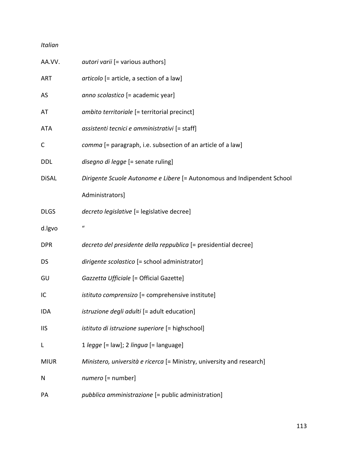## *Italian*

| AA.VV.       | <i>autori varii</i> [= various authors]                                 |
|--------------|-------------------------------------------------------------------------|
| ART          | articolo [= article, a section of a law]                                |
| AS           | anno scolastico [= academic year]                                       |
| AT           | ambito territoriale [= territorial precinct]                            |
| <b>ATA</b>   | assistenti tecnici e amministrativi [= staff]                           |
| C            | comma [= paragraph, i.e. subsection of an article of a law]             |
| <b>DDL</b>   | disegno di legge [= senate ruling]                                      |
| <b>DiSAL</b> | Dirigente Scuole Autonome e Libere [= Autonomous and Indipendent School |
|              | Administrators]                                                         |
| <b>DLGS</b>  | decreto legislative [= legislative decree]                              |
| d.lgvo       | $\boldsymbol{u}$                                                        |
| <b>DPR</b>   | decreto del presidente della reppublica [= presidential decree]         |
| <b>DS</b>    | dirigente scolastico [= school administrator]                           |
| GU           | Gazzetta Ufficiale [= Official Gazette]                                 |
| IC           | <i>istituto comprensizo</i> [= comprehensive institute]                 |
| IDA          | <i>istruzione degli adulti</i> [= adult education]                      |
| <b>IIS</b>   | istituto di istruzione superiore [= highschool]                         |
| L            | 1 legge [= law]; 2 lingua [= language]                                  |
| <b>MIUR</b>  | Ministero, università e ricerca [= Ministry, university and research]   |
| N            | numero [= number]                                                       |
| PA           | pubblica amministrazione [= public administration]                      |
|              |                                                                         |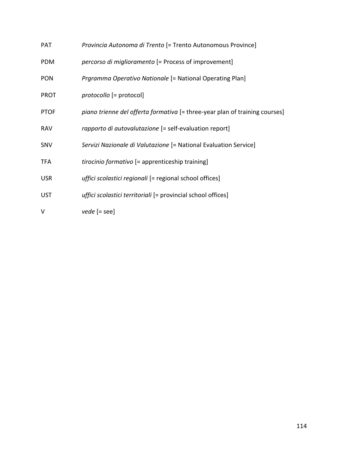| <b>PAT</b>  | Provincia Autonoma di Trento (= Trento Autonomous Province)                 |
|-------------|-----------------------------------------------------------------------------|
| <b>PDM</b>  | percorso di miglioramento [= Process of improvement]                        |
| <b>PON</b>  | <i>Prgramma Operativo Nationale</i> [= National Operating Plan]             |
| <b>PROT</b> | protocollo [= protocol]                                                     |
| <b>PTOF</b> | piano trienne del offerta formativa [= three-year plan of training courses] |
| <b>RAV</b>  | rapporto di autovalutazione [= self-evaluation report]                      |
| SNV         | Servizi Nazionale di Valutazione [= National Evaluation Service]            |
| <b>TFA</b>  | tirocinio formativo [= apprenticeship training]                             |
| <b>USR</b>  | <i>uffici scolastici regionali</i> [= regional school offices]              |
| <b>UST</b>  | uffici scolastici territoriali [= provincial school offices]                |
| v           | $vede$ [= see]                                                              |